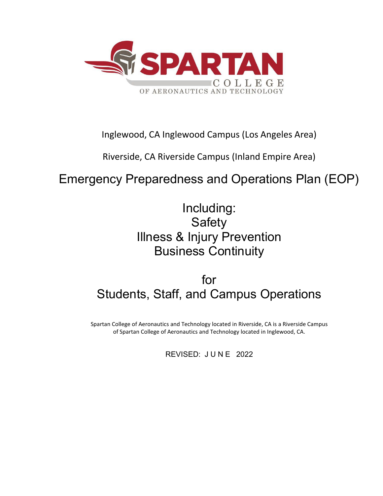

# Inglewood, CA Inglewood Campus (Los Angeles Area)

Riverside, CA Riverside Campus (Inland Empire Area)

# Emergency Preparedness and Operations Plan (EOP)

Including: Safety Illness & Injury Prevention Business Continuity

for Students, Staff, and Campus Operations

Spartan College of Aeronautics and Technology located in Riverside, CA is a Riverside Campus of Spartan College of Aeronautics and Technology located in Inglewood, CA.

REVISED: JUNE 2022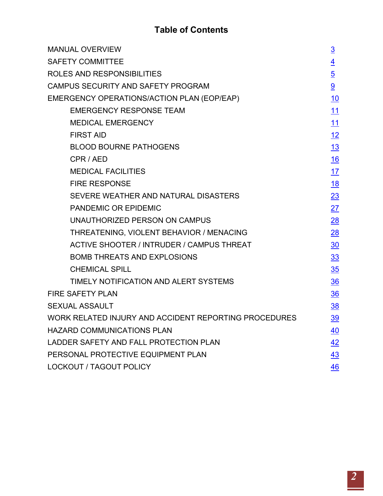# **Table of Contents**

| <b>MANUAL OVERVIEW</b>                                | $\overline{3}$ |  |  |
|-------------------------------------------------------|----------------|--|--|
| <b>SAFETY COMMITTEE</b>                               |                |  |  |
| ROLES AND RESPONSIBILITIES                            | $\overline{5}$ |  |  |
| CAMPUS SECURITY AND SAFETY PROGRAM                    | 9              |  |  |
| EMERGENCY OPERATIONS/ACTION PLAN (EOP/EAP)            | <u> 10</u>     |  |  |
| <b>EMERGENCY RESPONSE TEAM</b>                        | 11             |  |  |
| <b>MEDICAL EMERGENCY</b>                              | 11             |  |  |
| <b>FIRST AID</b>                                      | 12             |  |  |
| <b>BLOOD BOURNE PATHOGENS</b>                         | 13             |  |  |
| CPR / AED                                             | <u>16</u>      |  |  |
| <b>MEDICAL FACILITIES</b>                             | 17             |  |  |
| <b>FIRE RESPONSE</b>                                  | <u>18</u>      |  |  |
| SEVERE WEATHER AND NATURAL DISASTERS                  | 23             |  |  |
| PANDEMIC OR EPIDEMIC                                  | 27             |  |  |
| UNAUTHORIZED PERSON ON CAMPUS                         | 28             |  |  |
| THREATENING, VIOLENT BEHAVIOR / MENACING              | 28             |  |  |
| <b>ACTIVE SHOOTER / INTRUDER / CAMPUS THREAT</b>      | $\frac{30}{2}$ |  |  |
| <b>BOMB THREATS AND EXPLOSIONS</b>                    | 33             |  |  |
| <b>CHEMICAL SPILL</b>                                 | 35             |  |  |
| TIMELY NOTIFICATION AND ALERT SYSTEMS                 | $\frac{36}{5}$ |  |  |
| <b>FIRE SAFETY PLAN</b>                               | $\frac{36}{5}$ |  |  |
| <b>SEXUAL ASSAULT</b>                                 | <u>38</u>      |  |  |
| WORK RELATED INJURY AND ACCIDENT REPORTING PROCEDURES | <u>39</u>      |  |  |
| <b>HAZARD COMMUNICATIONS PLAN</b>                     | 40             |  |  |
| LADDER SAFETY AND FALL PROTECTION PLAN                | 42             |  |  |
| PERSONAL PROTECTIVE EQUIPMENT PLAN                    | 43             |  |  |
| <b>LOCKOUT / TAGOUT POLICY</b>                        | 46             |  |  |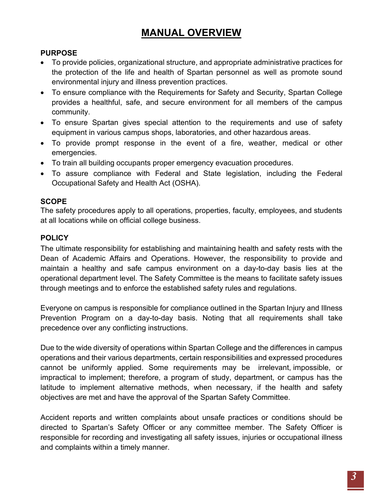# **MANUAL OVERVIEW**

# <span id="page-2-0"></span>**PURPOSE**

- To provide policies, organizational structure, and appropriate administrative practices for the protection of the life and health of Spartan personnel as well as promote sound environmental injury and illness prevention practices.
- To ensure compliance with the Requirements for Safety and Security, Spartan College provides a healthful, safe, and secure environment for all members of the campus community.
- To ensure Spartan gives special attention to the requirements and use of safety equipment in various campus shops, laboratories, and other hazardous areas.
- To provide prompt response in the event of a fire, weather, medical or other emergencies.
- To train all building occupants proper emergency evacuation procedures.
- To assure compliance with Federal and State legislation, including the Federal Occupational Safety and Health Act (OSHA).

### **SCOPE**

The safety procedures apply to all operations, properties, faculty, employees, and students at all locations while on official college business.

### **POLICY**

The ultimate responsibility for establishing and maintaining health and safety rests with the Dean of Academic Affairs and Operations. However, the responsibility to provide and maintain a healthy and safe campus environment on a day-to-day basis lies at the operational department level. The Safety Committee is the means to facilitate safety issues through meetings and to enforce the established safety rules and regulations.

Everyone on campus is responsible for compliance outlined in the Spartan Injury and Illness Prevention Program on a day-to-day basis. Noting that all requirements shall take precedence over any conflicting instructions.

Due to the wide diversity of operations within Spartan College and the differences in campus operations and their various departments, certain responsibilities and expressed procedures cannot be uniformly applied. Some requirements may be irrelevant, impossible, or impractical to implement; therefore, a program of study, department, or campus has the latitude to implement alternative methods, when necessary, if the health and safety objectives are met and have the approval of the Spartan Safety Committee.

Accident reports and written complaints about unsafe practices or conditions should be directed to Spartan's Safety Officer or any committee member. The Safety Officer is responsible for recording and investigating all safety issues, injuries or occupational illness and complaints within a timely manner.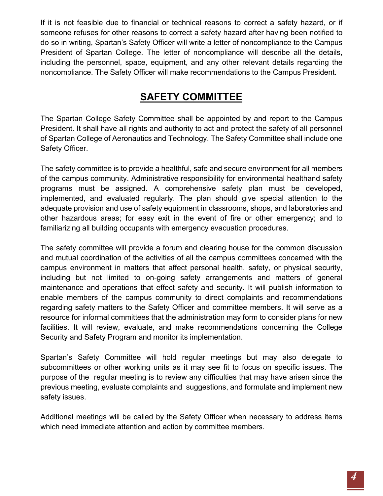If it is not feasible due to financial or technical reasons to correct a safety hazard, or if someone refuses for other reasons to correct a safety hazard after having been notified to do so in writing, Spartan's Safety Officer will write a letter of noncompliance to the Campus President of Spartan College. The letter of noncompliance will describe all the details, including the personnel, space, equipment, and any other relevant details regarding the noncompliance. The Safety Officer will make recommendations to the Campus President.

# **SAFETY COMMITTEE**

<span id="page-3-0"></span>The Spartan College Safety Committee shall be appointed by and report to the Campus President. It shall have all rights and authority to act and protect the safety of all personnel of Spartan College of Aeronautics and Technology. The Safety Committee shall include one Safety Officer.

The safety committee is to provide a healthful, safe and secure environment for all members of the campus community. Administrative responsibility for environmental healthand safety programs must be assigned. A comprehensive safety plan must be developed, implemented, and evaluated regularly. The plan should give special attention to the adequate provision and use of safety equipment in classrooms, shops, and laboratories and other hazardous areas; for easy exit in the event of fire or other emergency; and to familiarizing all building occupants with emergency evacuation procedures.

The safety committee will provide a forum and clearing house for the common discussion and mutual coordination of the activities of all the campus committees concerned with the campus environment in matters that affect personal health, safety, or physical security, including but not limited to on-going safety arrangements and matters of general maintenance and operations that effect safety and security. It will publish information to enable members of the campus community to direct complaints and recommendations regarding safety matters to the Safety Officer and committee members. It will serve as a resource for informal committees that the administration may form to consider plans for new facilities. It will review, evaluate, and make recommendations concerning the College Security and Safety Program and monitor its implementation.

Spartan's Safety Committee will hold regular meetings but may also delegate to subcommittees or other working units as it may see fit to focus on specific issues. The purpose of the regular meeting is to review any difficulties that may have arisen since the previous meeting, evaluate complaints and suggestions, and formulate and implement new safety issues.

Additional meetings will be called by the Safety Officer when necessary to address items which need immediate attention and action by committee members.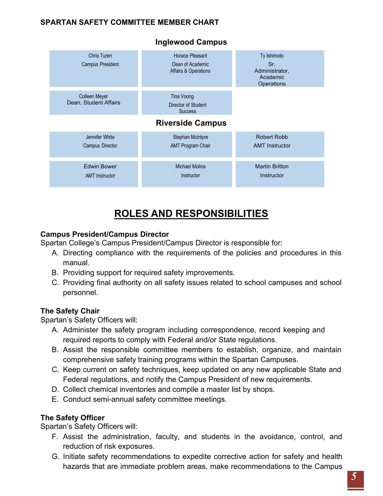### **SPARTAN SAFETY COMMITTEE MEMBER CHART**



### **Inglewood Campus**

# **ROLES AND RESPONSIBILITIES**

### <span id="page-4-0"></span>**Campus President/Campus Director**

Spartan College's Campus President/Campus Director is responsible for:

- A. Directing compliance with the requirements of the policies and procedures in this manual.
- B. Providing support for required safety improvements.
- C. Providing final authority on all safety issues related to school campuses and school personnel.

### **The Safety Chair**

Spartan's Safety Officers will:

- A. Administer the safety program including correspondence, record keeping and required reports to comply with Federal and/or State regulations.
- B. Assist the responsible committee members to establish, organize, and maintain comprehensive safety training programs within the Spartan Campuses.
- C. Keep current on safety techniques, keep updated on any new applicable State and Federal regulations, and notify the Campus President of new requirements.
- D. Collect chemical inventories and compile a master list by shops.
- E. Conduct semi-annual safety committee meetings.

### **The Safety Officer**

Spartan's Safety Officers will:

- F. Assist the administration, faculty, and students in the avoidance, control, and reduction of risk exposures.
- G. Initiate safety recommendations to expedite corrective action for safety and health hazards that are immediate problem areas, make recommendations to the Campus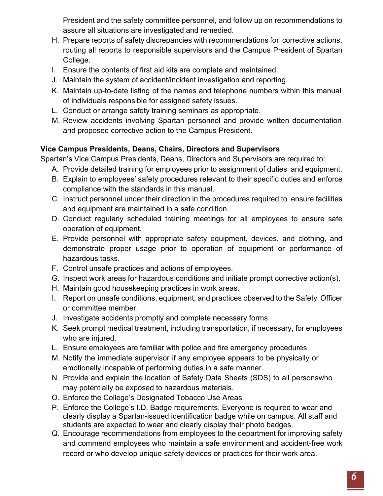President and the safety committee personnel, and follow up on recommendations to assure all situations are investigated and remedied.

- H. Prepare reports of safety discrepancies with recommendations for corrective actions, routing all reports to responsible supervisors and the Campus President of Spartan College.
- I. Ensure the contents of first aid kits are complete and maintained.
- J. Maintain the system of accident/incident investigation and reporting.
- K. Maintain up-to-date listing of the names and telephone numbers within this manual of individuals responsible for assigned safety issues.
- L. Conduct or arrange safety training seminars as appropriate.
- M. Review accidents involving Spartan personnel and provide written documentation and proposed corrective action to the Campus President.

# **Vice Campus Presidents, Deans, Chairs, Directors and Supervisors**

Spartan's Vice Campus Presidents, Deans, Directors and Supervisors are required to:

- A. Provide detailed training for employees prior to assignment of duties and equipment.
- B. Explain to employees' safety procedures relevant to their specific duties and enforce compliance with the standards in this manual.
- C. Instruct personnel under their direction in the procedures required to ensure facilities and equipment are maintained in a safe condition.
- D. Conduct regularly scheduled training meetings for all employees to ensure safe operation of equipment.
- E. Provide personnel with appropriate safety equipment, devices, and clothing, and demonstrate proper usage prior to operation of equipment or performance of hazardous tasks.
- F. Control unsafe practices and actions of employees.
- G. Inspect work areas for hazardous conditions and initiate prompt corrective action(s).
- H. Maintain good housekeeping practices in work areas.
- I. Report on unsafe conditions, equipment, and practices observed to the Safety Officer or committee member.
- J. Investigate accidents promptly and complete necessary forms.
- K. Seek prompt medical treatment, including transportation, if necessary, for employees who are injured.
- L. Ensure employees are familiar with police and fire emergency procedures.
- M. Notify the immediate supervisor if any employee appears to be physically or emotionally incapable of performing duties in a safe manner.
- N. Provide and explain the location of Safety Data Sheets (SDS) to all personswho may potentially be exposed to hazardous materials.
- O. Enforce the College's Designated Tobacco Use Areas.
- P. Enforce the College's I.D. Badge requirements. Everyone is required to wear and clearly display a Spartan-issued identification badge while on campus. All staff and students are expected to wear and clearly display their photo badges.
- Q. Encourage recommendations from employees to the department for improving safety and commend employees who maintain a safe environment and accident-free work record or who develop unique safety devices or practices for their work area.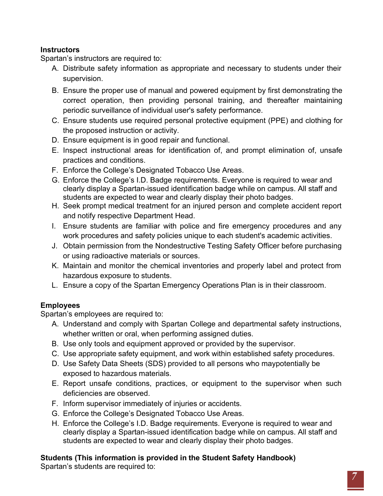### **Instructors**

Spartan's instructors are required to:

- A. Distribute safety information as appropriate and necessary to students under their supervision.
- B. Ensure the proper use of manual and powered equipment by first demonstrating the correct operation, then providing personal training, and thereafter maintaining periodic surveillance of individual user's safety performance.
- C. Ensure students use required personal protective equipment (PPE) and clothing for the proposed instruction or activity.
- D. Ensure equipment is in good repair and functional.
- E. Inspect instructional areas for identification of, and prompt elimination of, unsafe practices and conditions.
- F. Enforce the College's Designated Tobacco Use Areas.
- G. Enforce the College's I.D. Badge requirements. Everyone is required to wear and clearly display a Spartan-issued identification badge while on campus. All staff and students are expected to wear and clearly display their photo badges.
- H. Seek prompt medical treatment for an injured person and complete accident report and notify respective Department Head.
- I. Ensure students are familiar with police and fire emergency procedures and any work procedures and safety policies unique to each student's academic activities.
- J. Obtain permission from the Nondestructive Testing Safety Officer before purchasing or using radioactive materials or sources.
- K. Maintain and monitor the chemical inventories and properly label and protect from hazardous exposure to students.
- L. Ensure a copy of the Spartan Emergency Operations Plan is in their classroom.

# **Employees**

Spartan's employees are required to:

- A. Understand and comply with Spartan College and departmental safety instructions, whether written or oral, when performing assigned duties.
- B. Use only tools and equipment approved or provided by the supervisor.
- C. Use appropriate safety equipment, and work within established safety procedures.
- D. Use Safety Data Sheets (SDS) provided to all persons who maypotentially be exposed to hazardous materials.
- E. Report unsafe conditions, practices, or equipment to the supervisor when such deficiencies are observed.
- F. Inform supervisor immediately of injuries or accidents.
- G. Enforce the College's Designated Tobacco Use Areas.
- H. Enforce the College's I.D. Badge requirements. Everyone is required to wear and clearly display a Spartan-issued identification badge while on campus. All staff and students are expected to wear and clearly display their photo badges.

# **Students (This information is provided in the Student Safety Handbook)**

Spartan's students are required to: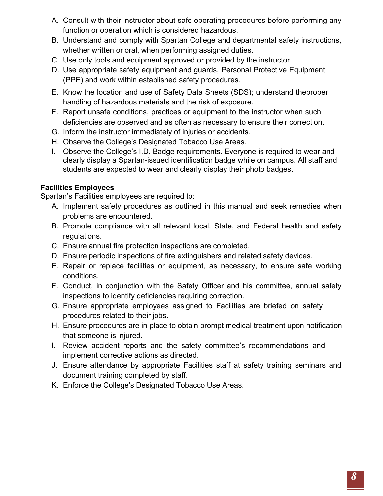- A. Consult with their instructor about safe operating procedures before performing any function or operation which is considered hazardous.
- B. Understand and comply with Spartan College and departmental safety instructions, whether written or oral, when performing assigned duties.
- C. Use only tools and equipment approved or provided by the instructor.
- D. Use appropriate safety equipment and guards, Personal Protective Equipment (PPE) and work within established safety procedures.
- E. Know the location and use of Safety Data Sheets (SDS); understand theproper handling of hazardous materials and the risk of exposure.
- F. Report unsafe conditions, practices or equipment to the instructor when such deficiencies are observed and as often as necessary to ensure their correction.
- G. Inform the instructor immediately of injuries or accidents.
- H. Observe the College's Designated Tobacco Use Areas.
- I. Observe the College's I.D. Badge requirements. Everyone is required to wear and clearly display a Spartan-issued identification badge while on campus. All staff and students are expected to wear and clearly display their photo badges.

### **Facilities Employees**

Spartan's Facilities employees are required to:

- A. Implement safety procedures as outlined in this manual and seek remedies when problems are encountered.
- B. Promote compliance with all relevant local, State, and Federal health and safety regulations.
- C. Ensure annual fire protection inspections are completed.
- D. Ensure periodic inspections of fire extinguishers and related safety devices.
- E. Repair or replace facilities or equipment, as necessary, to ensure safe working conditions.
- F. Conduct, in conjunction with the Safety Officer and his committee, annual safety inspections to identify deficiencies requiring correction.
- G. Ensure appropriate employees assigned to Facilities are briefed on safety procedures related to their jobs.
- H. Ensure procedures are in place to obtain prompt medical treatment upon notification that someone is injured.
- I. Review accident reports and the safety committee's recommendations and implement corrective actions as directed.
- J. Ensure attendance by appropriate Facilities staff at safety training seminars and document training completed by staff.
- K. Enforce the College's Designated Tobacco Use Areas.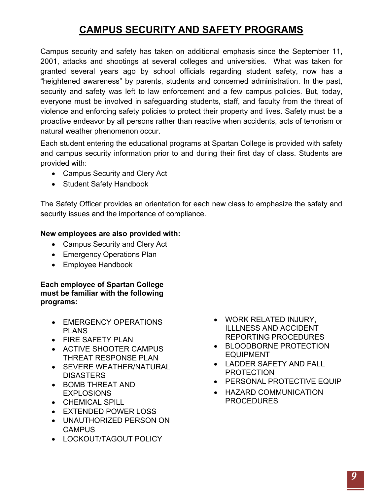# **CAMPUS SECURITY AND SAFETY PROGRAMS**

<span id="page-8-0"></span>Campus security and safety has taken on additional emphasis since the September 11, 2001, attacks and shootings at several colleges and universities. What was taken for granted several years ago by school officials regarding student safety, now has a "heightened awareness" by parents, students and concerned administration. In the past, security and safety was left to law enforcement and a few campus policies. But, today, everyone must be involved in safeguarding students, staff, and faculty from the threat of violence and enforcing safety policies to protect their property and lives. Safety must be a proactive endeavor by all persons rather than reactive when accidents, acts of terrorism or natural weather phenomenon occur.

Each student entering the educational programs at Spartan College is provided with safety and campus security information prior to and during their first day of class. Students are provided with:

- Campus Security and Clery Act
- Student Safety Handbook

The Safety Officer provides an orientation for each new class to emphasize the safety and security issues and the importance of compliance.

### **New employees are also provided with:**

- Campus Security and Clery Act
- Emergency Operations Plan
- Employee Handbook

**Each employee of Spartan College must be familiar with the following programs:**

- EMERGENCY OPERATIONS PLANS
- FIRE SAFETY PLAN
- ACTIVE SHOOTER CAMPUS THREAT RESPONSE PLAN
- SEVERE WEATHER/NATURAL **DISASTERS**
- BOMB THREAT AND EXPLOSIONS
- CHEMICAL SPILL
- EXTENDED POWER LOSS
- UNAUTHORIZED PERSON ON **CAMPUS**
- LOCKOUT/TAGOUT POLICY
- WORK RELATED INJURY, ILLLNESS AND ACCIDENT REPORTING PROCEDURES
- BLOODBORNE PROTECTION EQUIPMENT
- LADDER SAFETY AND FALL PROTECTION
- PERSONAL PROTECTIVE EQUIP
- HAZARD COMMUNICATION PROCEDURES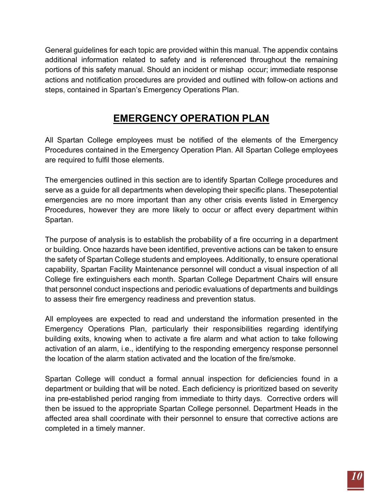General guidelines for each topic are provided within this manual. The appendix contains additional information related to safety and is referenced throughout the remaining portions of this safety manual. Should an incident or mishap occur; immediate response actions and notification procedures are provided and outlined with follow-on actions and steps, contained in Spartan's Emergency Operations Plan.

# **EMERGENCY OPERATION PLAN**

<span id="page-9-0"></span>All Spartan College employees must be notified of the elements of the Emergency Procedures contained in the Emergency Operation Plan. All Spartan College employees are required to fulfil those elements.

The emergencies outlined in this section are to identify Spartan College procedures and serve as a guide for all departments when developing their specific plans. Thesepotential emergencies are no more important than any other crisis events listed in Emergency Procedures, however they are more likely to occur or affect every department within Spartan.

The purpose of analysis is to establish the probability of a fire occurring in a department or building. Once hazards have been identified, preventive actions can be taken to ensure the safety of Spartan College students and employees. Additionally, to ensure operational capability, Spartan Facility Maintenance personnel will conduct a visual inspection of all College fire extinguishers each month. Spartan College Department Chairs will ensure that personnel conduct inspections and periodic evaluations of departments and buildings to assess their fire emergency readiness and prevention status.

All employees are expected to read and understand the information presented in the Emergency Operations Plan, particularly their responsibilities regarding identifying building exits, knowing when to activate a fire alarm and what action to take following activation of an alarm, i.e., identifying to the responding emergency response personnel the location of the alarm station activated and the location of the fire/smoke.

Spartan College will conduct a formal annual inspection for deficiencies found in a department or building that will be noted. Each deficiency is prioritized based on severity ina pre-established period ranging from immediate to thirty days. Corrective orders will then be issued to the appropriate Spartan College personnel. Department Heads in the affected area shall coordinate with their personnel to ensure that corrective actions are completed in a timely manner.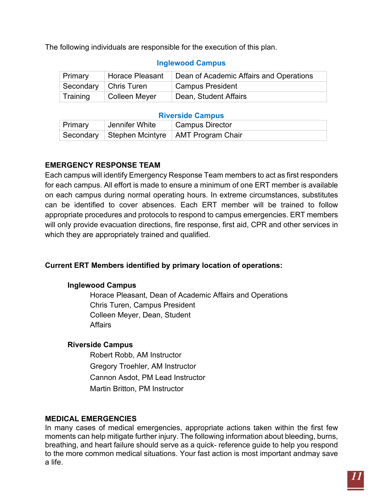The following individuals are responsible for the execution of this plan.

| Primary  | <b>Horace Pleasant</b>  | Dean of Academic Affairs and Operations |
|----------|-------------------------|-----------------------------------------|
|          | Secondary   Chris Turen | <b>Campus President</b>                 |
| Training | <b>Colleen Meyer</b>    | Dean, Student Affairs                   |

### **Inglewood Campus**

#### **Riverside Campus**

| Primary | Jennifer White | Campus Director                                |  |
|---------|----------------|------------------------------------------------|--|
|         |                | Secondary Stephen Mcintyre   AMT Program Chair |  |

### <span id="page-10-0"></span>**EMERGENCY RESPONSE TEAM**

Each campus will identify Emergency Response Team members to act as first responders for each campus. All effort is made to ensure a minimum of one ERT member is available on each campus during normal operating hours. In extreme circumstances, substitutes can be identified to cover absences. Each ERT member will be trained to follow appropriate procedures and protocols to respond to campus emergencies. ERT members will only provide evacuation directions, fire response, first aid, CPR and other services in which they are appropriately trained and qualified.

### **Current ERT Members identified by primary location of operations:**

### **Inglewood Campus**

Horace Pleasant, Dean of Academic Affairs and Operations Chris Turen, Campus President Colleen Meyer, Dean, Student **Affairs** 

### **Riverside Campus**

Robert Robb, AM Instructor Gregory Troehler, AM Instructor Cannon Asdot, PM Lead Instructor Martin Britton, PM Instructor

### <span id="page-10-1"></span>**MEDICAL EMERGENCIES**

In many cases of medical emergencies, appropriate actions taken within the first few moments can help mitigate further injury. The following information about bleeding, burns, breathing, and heart failure should serve as a quick- reference guide to help you respond to the more common medical situations. Your fast action is most important andmay save a life.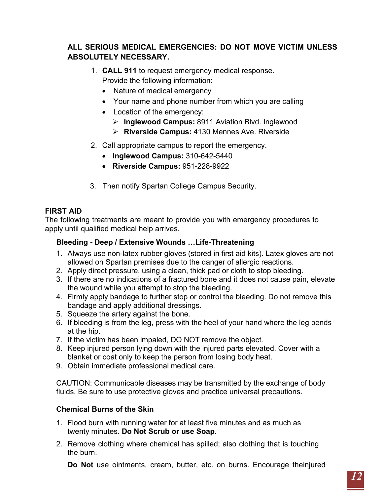### **ALL SERIOUS MEDICAL EMERGENCIES: DO NOT MOVE VICTIM UNLESS ABSOLUTELY NECESSARY.**

- 1. **CALL 911** to request emergency medical response. Provide the following information:
	- Nature of medical emergency
	- Your name and phone number from which you are calling
	- Location of the emergency:
		- **Inglewood Campus:** 8911 Aviation Blvd. Inglewood
		- **Riverside Campus:** 4130 Mennes Ave. Riverside
- 2. Call appropriate campus to report the emergency.
	- **Inglewood Campus:** 310-642-5440
	- **Riverside Campus:** 951-228-9922
- 3. Then notify Spartan College Campus Security.

### <span id="page-11-0"></span>**FIRST AID**

The following treatments are meant to provide you with emergency procedures to apply until qualified medical help arrives.

### **Bleeding - Deep / Extensive Wounds …Life-Threatening**

- 1. Always use non-latex rubber gloves (stored in first aid kits). Latex gloves are not allowed on Spartan premises due to the danger of allergic reactions.
- 2. Apply direct pressure, using a clean, thick pad or cloth to stop bleeding.
- 3. If there are no indications of a fractured bone and it does not cause pain, elevate the wound while you attempt to stop the bleeding.
- 4. Firmly apply bandage to further stop or control the bleeding. Do not remove this bandage and apply additional dressings.
- 5. Squeeze the artery against the bone.
- 6. If bleeding is from the leg, press with the heel of your hand where the leg bends at the hip.
- 7. If the victim has been impaled, DO NOT remove the object.
- 8. Keep injured person lying down with the injured parts elevated. Cover with a blanket or coat only to keep the person from losing body heat.
- 9. Obtain immediate professional medical care.

CAUTION: Communicable diseases may be transmitted by the exchange of body fluids. Be sure to use protective gloves and practice universal precautions.

### **Chemical Burns of the Skin**

- 1. Flood burn with running water for at least five minutes and as much as twenty minutes. **Do Not Scrub or use Soap**.
- 2. Remove clothing where chemical has spilled; also clothing that is touching the burn.

**Do Not** use ointments, cream, butter, etc. on burns. Encourage theinjured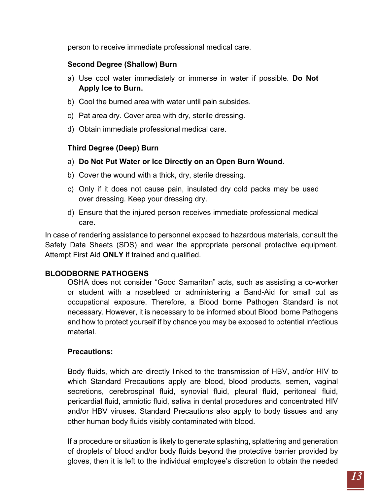person to receive immediate professional medical care.

### **Second Degree (Shallow) Burn**

- a) Use cool water immediately or immerse in water if possible. **Do Not Apply Ice to Burn.**
- b) Cool the burned area with water until pain subsides.
- c) Pat area dry. Cover area with dry, sterile dressing.
- d) Obtain immediate professional medical care.

### **Third Degree (Deep) Burn**

- a) **Do Not Put Water or Ice Directly on an Open Burn Wound**.
- b) Cover the wound with a thick, dry, sterile dressing.
- c) Only if it does not cause pain, insulated dry cold packs may be used over dressing. Keep your dressing dry.
- d) Ensure that the injured person receives immediate professional medical care.

In case of rendering assistance to personnel exposed to hazardous materials, consult the Safety Data Sheets (SDS) and wear the appropriate personal protective equipment. Attempt First Aid **ONLY** if trained and qualified.

### <span id="page-12-0"></span>**BLOODBORNE PATHOGENS**

OSHA does not consider "Good Samaritan" acts, such as assisting a co-worker or student with a nosebleed or administering a Band-Aid for small cut as occupational exposure. Therefore, a Blood borne Pathogen Standard is not necessary. However, it is necessary to be informed about Blood borne Pathogens and how to protect yourself if by chance you may be exposed to potential infectious material.

### **Precautions:**

Body fluids, which are directly linked to the transmission of HBV, and/or HIV to which Standard Precautions apply are blood, blood products, semen, vaginal secretions, cerebrospinal fluid, synovial fluid, pleural fluid, peritoneal fluid, pericardial fluid, amniotic fluid, saliva in dental procedures and concentrated HIV and/or HBV viruses. Standard Precautions also apply to body tissues and any other human body fluids visibly contaminated with blood.

If a procedure or situation is likely to generate splashing, splattering and generation of droplets of blood and/or body fluids beyond the protective barrier provided by gloves, then it is left to the individual employee's discretion to obtain the needed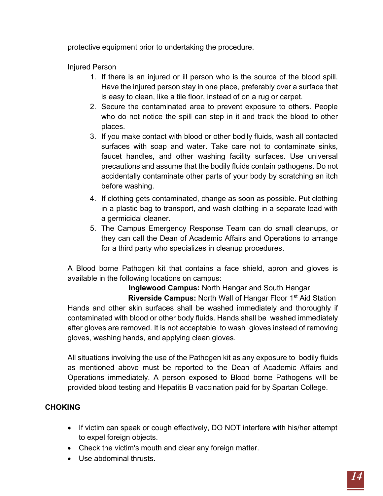protective equipment prior to undertaking the procedure.

Injured Person

- 1. If there is an injured or ill person who is the source of the blood spill. Have the injured person stay in one place, preferably over a surface that is easy to clean, like a tile floor, instead of on a rug or carpet.
- 2. Secure the contaminated area to prevent exposure to others. People who do not notice the spill can step in it and track the blood to other places.
- 3. If you make contact with blood or other bodily fluids, wash all contacted surfaces with soap and water. Take care not to contaminate sinks, faucet handles, and other washing facility surfaces. Use universal precautions and assume that the bodily fluids contain pathogens. Do not accidentally contaminate other parts of your body by scratching an itch before washing.
- 4. If clothing gets contaminated, change as soon as possible. Put clothing in a plastic bag to transport, and wash clothing in a separate load with a germicidal cleaner.
- 5. The Campus Emergency Response Team can do small cleanups, or they can call the Dean of Academic Affairs and Operations to arrange for a third party who specializes in cleanup procedures.

A Blood borne Pathogen kit that contains a face shield, apron and gloves is available in the following locations on campus:

 **Inglewood Campus:** North Hangar and South Hangar

**Riverside Campus:** North Wall of Hangar Floor 1<sup>st</sup> Aid Station Hands and other skin surfaces shall be washed immediately and thoroughly if contaminated with blood or other body fluids. Hands shall be washed immediately after gloves are removed. It is not acceptable to wash gloves instead of removing gloves, washing hands, and applying clean gloves.

All situations involving the use of the Pathogen kit as any exposure to bodily fluids as mentioned above must be reported to the Dean of Academic Affairs and Operations immediately. A person exposed to Blood borne Pathogens will be provided blood testing and Hepatitis B vaccination paid for by Spartan College.

# **CHOKING**

- If victim can speak or cough effectively, DO NOT interfere with his/her attempt to expel foreign objects.
- Check the victim's mouth and clear any foreign matter.
- Use abdominal thrusts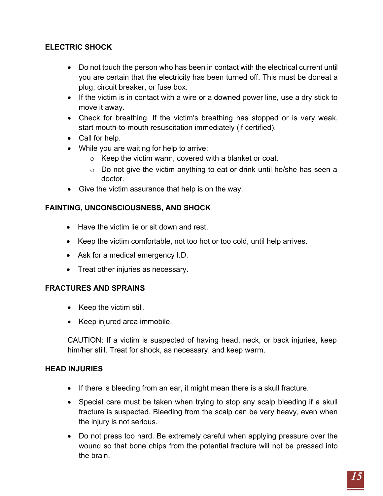### **ELECTRIC SHOCK**

- Do not touch the person who has been in contact with the electrical current until you are certain that the electricity has been turned off. This must be doneat a plug, circuit breaker, or fuse box.
- If the victim is in contact with a wire or a downed power line, use a dry stick to move it away.
- Check for breathing. If the victim's breathing has stopped or is very weak, start mouth-to-mouth resuscitation immediately (if certified).
- Call for help.
- While you are waiting for help to arrive:
	- o Keep the victim warm, covered with a blanket or coat.
	- o Do not give the victim anything to eat or drink until he/she has seen a doctor.
- Give the victim assurance that help is on the way.

### **FAINTING, UNCONSCIOUSNESS, AND SHOCK**

- Have the victim lie or sit down and rest.
- Keep the victim comfortable, not too hot or too cold, until help arrives.
- Ask for a medical emergency I.D.
- Treat other injuries as necessary.

### **FRACTURES AND SPRAINS**

- Keep the victim still.
- Keep injured area immobile.

CAUTION: If a victim is suspected of having head, neck, or back injuries, keep him/her still. Treat for shock, as necessary, and keep warm.

### **HEAD INJURIES**

- If there is bleeding from an ear, it might mean there is a skull fracture.
- Special care must be taken when trying to stop any scalp bleeding if a skull fracture is suspected. Bleeding from the scalp can be very heavy, even when the injury is not serious.
- Do not press too hard. Be extremely careful when applying pressure over the wound so that bone chips from the potential fracture will not be pressed into the brain.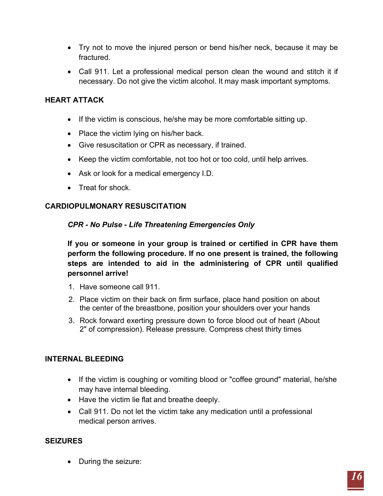- Try not to move the injured person or bend his/her neck, because it may be fractured.
- Call 911. Let a professional medical person clean the wound and stitch it if necessary. Do not give the victim alcohol. It may mask important symptoms.

### **HEART ATTACK**

- If the victim is conscious, he/she may be more comfortable sitting up.
- Place the victim lying on his/her back.
- Give resuscitation or CPR as necessary, if trained.
- Keep the victim comfortable, not too hot or too cold, until help arrives.
- Ask or look for a medical emergency I.D.
- Treat for shock.

### <span id="page-15-0"></span>**CARDIOPULMONARY RESUSCITATION**

### *CPR - No Pulse - Life Threatening Emergencies Only*

**If you or someone in your group is trained or certified in CPR have them perform the following procedure. If no one present is trained, the following steps are intended to aid in the administering of CPR until qualified personnel arrive!**

- 1. Have someone call 911.
- 2. Place victim on their back on firm surface, place hand position on about the center of the breastbone, position your shoulders over your hands
- 3. Rock forward exerting pressure down to force blood out of heart (About 2" of compression). Release pressure. Compress chest thirty times

### **INTERNAL BLEEDING**

- If the victim is coughing or vomiting blood or "coffee ground" material, he/she may have internal bleeding.
- Have the victim lie flat and breathe deeply.
- Call 911. Do not let the victim take any medication until a professional medical person arrives.

### **SEIZURES**

• During the seizure: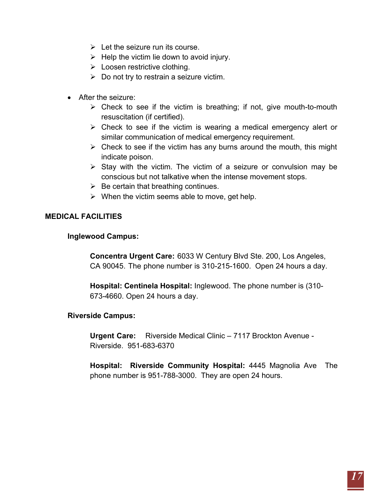- $\triangleright$  Let the seizure run its course.
- $\triangleright$  Help the victim lie down to avoid injury.
- $\triangleright$  Loosen restrictive clothing.
- $\triangleright$  Do not try to restrain a seizure victim.
- After the seizure:
	- $\triangleright$  Check to see if the victim is breathing; if not, give mouth-to-mouth resuscitation (if certified).
	- $\triangleright$  Check to see if the victim is wearing a medical emergency alert or similar communication of medical emergency requirement.
	- $\triangleright$  Check to see if the victim has any burns around the mouth, this might indicate poison.
	- $\triangleright$  Stay with the victim. The victim of a seizure or convulsion may be conscious but not talkative when the intense movement stops.
	- $\triangleright$  Be certain that breathing continues.
	- $\triangleright$  When the victim seems able to move, get help.

### <span id="page-16-0"></span>**MEDICAL FACILITIES**

### **Inglewood Campus:**

**Concentra Urgent Care:** 6033 W Century Blvd Ste. 200, Los Angeles, CA 90045. The phone number is 310-215-1600. Open 24 hours a day.

**Hospital: Centinela Hospital:** Inglewood. The phone number is (310- 673-4660. Open 24 hours a day.

### **Riverside Campus:**

**Urgent Care:** Riverside Medical Clinic – 7117 Brockton Avenue - Riverside. 951-683-6370

**Hospital: Riverside Community Hospital:** 4445 Magnolia Ave The phone number is 951-788-3000. They are open 24 hours.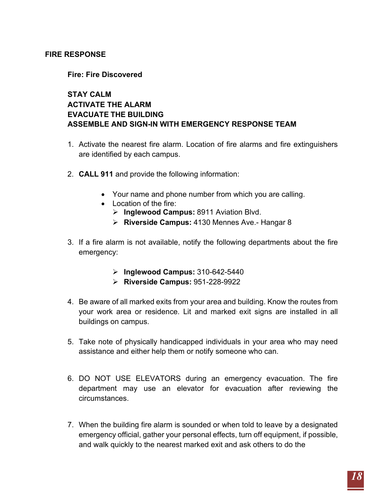### <span id="page-17-0"></span>**FIRE RESPONSE**

### **Fire: Fire Discovered**

### **STAY CALM ACTIVATE THE ALARM EVACUATE THE BUILDING ASSEMBLE AND SIGN-IN WITH EMERGENCY RESPONSE TEAM**

- 1. Activate the nearest fire alarm. Location of fire alarms and fire extinguishers are identified by each campus.
- 2. **CALL 911** and provide the following information:
	- Your name and phone number from which you are calling.
	- Location of the fire:
		- **Inglewood Campus:** 8911 Aviation Blvd.
		- **Riverside Campus:** 4130 Mennes Ave.- Hangar 8
- 3. If a fire alarm is not available, notify the following departments about the fire emergency:
	- **Inglewood Campus:** 310-642-5440
	- **Riverside Campus:** 951-228-9922
- 4. Be aware of all marked exits from your area and building. Know the routes from your work area or residence. Lit and marked exit signs are installed in all buildings on campus.
- 5. Take note of physically handicapped individuals in your area who may need assistance and either help them or notify someone who can.
- 6. DO NOT USE ELEVATORS during an emergency evacuation. The fire department may use an elevator for evacuation after reviewing the circumstances.
- 7. When the building fire alarm is sounded or when told to leave by a designated emergency official, gather your personal effects, turn off equipment, if possible, and walk quickly to the nearest marked exit and ask others to do the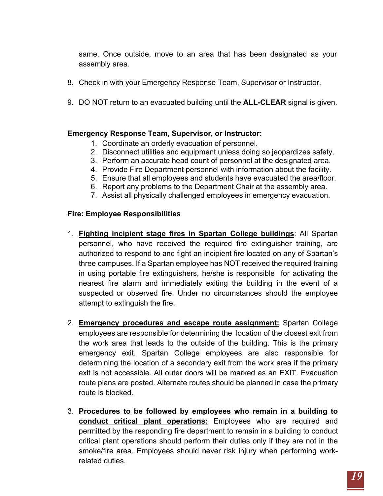same. Once outside, move to an area that has been designated as your assembly area.

- 8. Check in with your Emergency Response Team, Supervisor or Instructor.
- 9. DO NOT return to an evacuated building until the **ALL-CLEAR** signal is given.

### **Emergency Response Team, Supervisor, or Instructor:**

- 1. Coordinate an orderly evacuation of personnel.
- 2. Disconnect utilities and equipment unless doing so jeopardizes safety.
- 3. Perform an accurate head count of personnel at the designated area.
- 4. Provide Fire Department personnel with information about the facility.
- 5. Ensure that all employees and students have evacuated the area/floor.
- 6. Report any problems to the Department Chair at the assembly area.
- 7. Assist all physically challenged employees in emergency evacuation.

#### **Fire: Employee Responsibilities**

- 1. **Fighting incipient stage fires in Spartan College buildings**: All Spartan personnel, who have received the required fire extinguisher training, are authorized to respond to and fight an incipient fire located on any of Spartan's three campuses. If a Spartan employee has NOT received the required training in using portable fire extinguishers, he/she is responsible for activating the nearest fire alarm and immediately exiting the building in the event of a suspected or observed fire. Under no circumstances should the employee attempt to extinguish the fire.
- 2. **Emergency procedures and escape route assignment:** Spartan College employees are responsible for determining the location of the closest exit from the work area that leads to the outside of the building. This is the primary emergency exit. Spartan College employees are also responsible for determining the location of a secondary exit from the work area if the primary exit is not accessible. All outer doors will be marked as an EXIT. Evacuation route plans are posted. Alternate routes should be planned in case the primary route is blocked.
- 3. **Procedures to be followed by employees who remain in a building to conduct critical plant operations:** Employees who are required and permitted by the responding fire department to remain in a building to conduct critical plant operations should perform their duties only if they are not in the smoke/fire area. Employees should never risk injury when performing workrelated duties.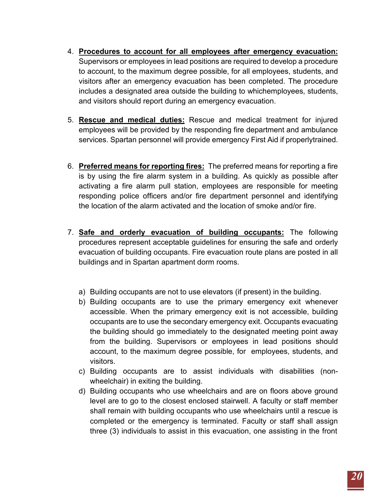- 4. **Procedures to account for all employees after emergency evacuation:** Supervisors or employees in lead positions are required to develop a procedure to account, to the maximum degree possible, for all employees, students, and visitors after an emergency evacuation has been completed. The procedure includes a designated area outside the building to whichemployees, students, and visitors should report during an emergency evacuation.
- 5. **Rescue and medical duties:** Rescue and medical treatment for injured employees will be provided by the responding fire department and ambulance services. Spartan personnel will provide emergency First Aid if properlytrained.
- 6. **Preferred means for reporting fires:** The preferred means for reporting a fire is by using the fire alarm system in a building. As quickly as possible after activating a fire alarm pull station, employees are responsible for meeting responding police officers and/or fire department personnel and identifying the location of the alarm activated and the location of smoke and/or fire.
- 7. **Safe and orderly evacuation of building occupants:** The following procedures represent acceptable guidelines for ensuring the safe and orderly evacuation of building occupants. Fire evacuation route plans are posted in all buildings and in Spartan apartment dorm rooms.
	- a) Building occupants are not to use elevators (if present) in the building.
	- b) Building occupants are to use the primary emergency exit whenever accessible. When the primary emergency exit is not accessible, building occupants are to use the secondary emergency exit. Occupants evacuating the building should go immediately to the designated meeting point away from the building. Supervisors or employees in lead positions should account, to the maximum degree possible, for employees, students, and visitors.
	- c) Building occupants are to assist individuals with disabilities (nonwheelchair) in exiting the building.
	- d) Building occupants who use wheelchairs and are on floors above ground level are to go to the closest enclosed stairwell. A faculty or staff member shall remain with building occupants who use wheelchairs until a rescue is completed or the emergency is terminated. Faculty or staff shall assign three (3) individuals to assist in this evacuation, one assisting in the front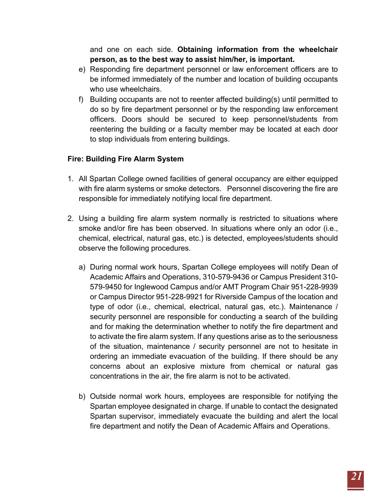and one on each side. **Obtaining information from the wheelchair person, as to the best way to assist him/her, is important.**

- e) Responding fire department personnel or law enforcement officers are to be informed immediately of the number and location of building occupants who use wheelchairs.
- f) Building occupants are not to reenter affected building(s) until permitted to do so by fire department personnel or by the responding law enforcement officers. Doors should be secured to keep personnel/students from reentering the building or a faculty member may be located at each door to stop individuals from entering buildings.

### **Fire: Building Fire Alarm System**

- 1. All Spartan College owned facilities of general occupancy are either equipped with fire alarm systems or smoke detectors. Personnel discovering the fire are responsible for immediately notifying local fire department.
- 2. Using a building fire alarm system normally is restricted to situations where smoke and/or fire has been observed. In situations where only an odor (i.e., chemical, electrical, natural gas, etc.) is detected, employees/students should observe the following procedures.
	- a) During normal work hours, Spartan College employees will notify Dean of Academic Affairs and Operations, 310-579-9436 or Campus President 310- 579-9450 for Inglewood Campus and/or AMT Program Chair 951-228-9939 or Campus Director 951-228-9921 for Riverside Campus of the location and type of odor (i.e., chemical, electrical, natural gas, etc.). Maintenance / security personnel are responsible for conducting a search of the building and for making the determination whether to notify the fire department and to activate the fire alarm system. If any questions arise as to the seriousness of the situation, maintenance / security personnel are not to hesitate in ordering an immediate evacuation of the building. If there should be any concerns about an explosive mixture from chemical or natural gas concentrations in the air, the fire alarm is not to be activated.
	- b) Outside normal work hours, employees are responsible for notifying the Spartan employee designated in charge. If unable to contact the designated Spartan supervisor, immediately evacuate the building and alert the local fire department and notify the Dean of Academic Affairs and Operations.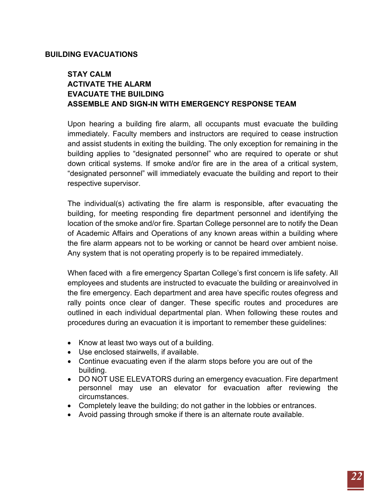### **BUILDING EVACUATIONS**

### **STAY CALM ACTIVATE THE ALARM EVACUATE THE BUILDING ASSEMBLE AND SIGN-IN WITH EMERGENCY RESPONSE TEAM**

Upon hearing a building fire alarm, all occupants must evacuate the building immediately. Faculty members and instructors are required to cease instruction and assist students in exiting the building. The only exception for remaining in the building applies to "designated personnel" who are required to operate or shut down critical systems. If smoke and/or fire are in the area of a critical system, "designated personnel" will immediately evacuate the building and report to their respective supervisor.

The individual(s) activating the fire alarm is responsible, after evacuating the building, for meeting responding fire department personnel and identifying the location of the smoke and/or fire. Spartan College personnel are to notify the Dean of Academic Affairs and Operations of any known areas within a building where the fire alarm appears not to be working or cannot be heard over ambient noise. Any system that is not operating properly is to be repaired immediately.

When faced with a fire emergency Spartan College's first concern is life safety. All employees and students are instructed to evacuate the building or areainvolved in the fire emergency. Each department and area have specific routes ofegress and rally points once clear of danger. These specific routes and procedures are outlined in each individual departmental plan. When following these routes and procedures during an evacuation it is important to remember these guidelines:

- Know at least two ways out of a building.
- Use enclosed stairwells, if available.
- Continue evacuating even if the alarm stops before you are out of the building.
- DO NOT USE ELEVATORS during an emergency evacuation. Fire department personnel may use an elevator for evacuation after reviewing the circumstances.
- Completely leave the building; do not gather in the lobbies or entrances.
- Avoid passing through smoke if there is an alternate route available.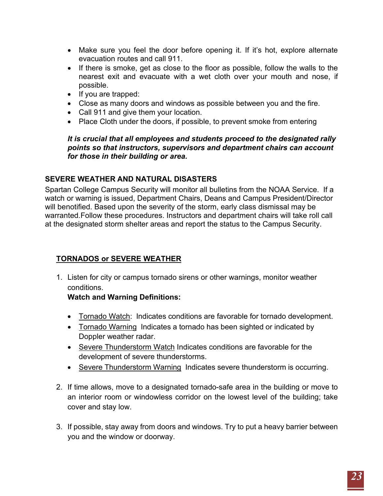- Make sure you feel the door before opening it. If it's hot, explore alternate evacuation routes and call 911.
- If there is smoke, get as close to the floor as possible, follow the walls to the nearest exit and evacuate with a wet cloth over your mouth and nose, if possible.
- If you are trapped:
- Close as many doors and windows as possible between you and the fire.
- Call 911 and give them your location.
- Place Cloth under the doors, if possible, to prevent smoke from entering

### *It is crucial that all employees and students proceed to the designated rally points so that instructors, supervisors and department chairs can account for those in their building or area.*

# <span id="page-22-0"></span>**SEVERE WEATHER AND NATURAL DISASTERS**

Spartan College Campus Security will monitor all bulletins from the NOAA Service. If a watch or warning is issued, Department Chairs, Deans and Campus President/Director will benotified. Based upon the severity of the storm, early class dismissal may be warranted.Follow these procedures. Instructors and department chairs will take roll call at the designated storm shelter areas and report the status to the Campus Security.

# **TORNADOS or SEVERE WEATHER**

1. Listen for city or campus tornado sirens or other warnings, monitor weather conditions.

# **Watch and Warning Definitions:**

- Tornado Watch: Indicates conditions are favorable for tornado development.
- Tornado Warning Indicates a tornado has been sighted or indicated by Doppler weather radar.
- Severe Thunderstorm Watch Indicates conditions are favorable for the development of severe thunderstorms.
- Severe Thunderstorm Warning Indicates severe thunderstorm is occurring.
- 2. If time allows, move to a designated tornado-safe area in the building or move to an interior room or windowless corridor on the lowest level of the building; take cover and stay low.
- 3. If possible, stay away from doors and windows. Try to put a heavy barrier between you and the window or doorway.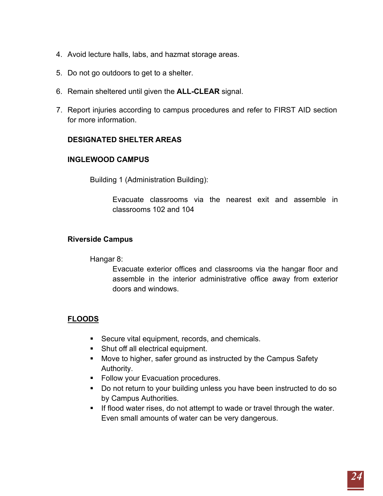- 4. Avoid lecture halls, labs, and hazmat storage areas.
- 5. Do not go outdoors to get to a shelter.
- 6. Remain sheltered until given the **ALL-CLEAR** signal.
- 7. Report injuries according to campus procedures and refer to FIRST AID section for more information.

### **DESIGNATED SHELTER AREAS**

### **INGLEWOOD CAMPUS**

Building 1 (Administration Building):

Evacuate classrooms via the nearest exit and assemble in classrooms 102 and 104

### **Riverside Campus**

Hangar 8:

Evacuate exterior offices and classrooms via the hangar floor and assemble in the interior administrative office away from exterior doors and windows.

# **FLOODS**

- Secure vital equipment, records, and chemicals.
- **Shut off all electrical equipment.**
- **Move to higher, safer ground as instructed by the Campus Safety** Authority.
- **Follow your Evacuation procedures.**
- Do not return to your building unless you have been instructed to do so by Campus Authorities.
- If flood water rises, do not attempt to wade or travel through the water. Even small amounts of water can be very dangerous.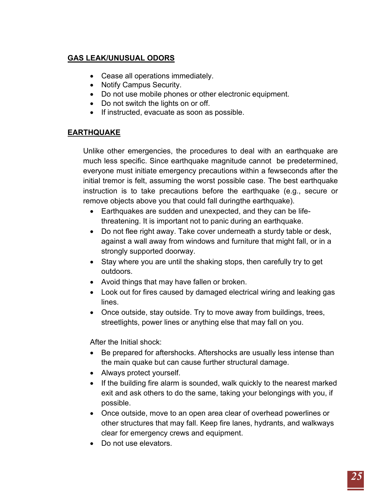# **GAS LEAK/UNUSUAL ODORS**

- Cease all operations immediately.
- Notify Campus Security.
- Do not use mobile phones or other electronic equipment.
- Do not switch the lights on or off.
- If instructed, evacuate as soon as possible.

### **EARTHQUAKE**

Unlike other emergencies, the procedures to deal with an earthquake are much less specific. Since earthquake magnitude cannot be predetermined, everyone must initiate emergency precautions within a fewseconds after the initial tremor is felt, assuming the worst possible case. The best earthquake instruction is to take precautions before the earthquake (e.g., secure or remove objects above you that could fall duringthe earthquake).

- Earthquakes are sudden and unexpected, and they can be lifethreatening. It is important not to panic during an earthquake.
- Do not flee right away. Take cover underneath a sturdy table or desk, against a wall away from windows and furniture that might fall, or in a strongly supported doorway.
- Stay where you are until the shaking stops, then carefully try to get outdoors.
- Avoid things that may have fallen or broken.
- Look out for fires caused by damaged electrical wiring and leaking gas lines.
- Once outside, stay outside. Try to move away from buildings, trees, streetlights, power lines or anything else that may fall on you.

After the Initial shock:

- Be prepared for aftershocks. Aftershocks are usually less intense than the main quake but can cause further structural damage.
- Always protect yourself.
- If the building fire alarm is sounded, walk quickly to the nearest marked exit and ask others to do the same, taking your belongings with you, if possible.
- Once outside, move to an open area clear of overhead powerlines or other structures that may fall. Keep fire lanes, hydrants, and walkways clear for emergency crews and equipment.
- Do not use elevators.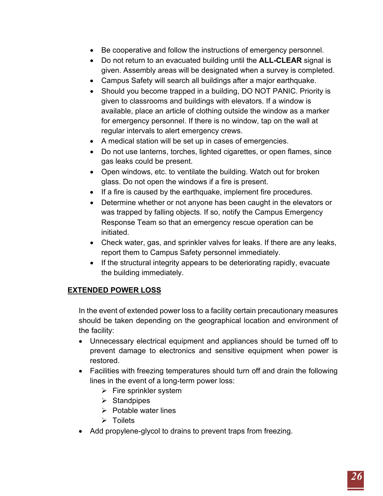- Be cooperative and follow the instructions of emergency personnel.
- Do not return to an evacuated building until the **ALL-CLEAR** signal is given. Assembly areas will be designated when a survey is completed.
- Campus Safety will search all buildings after a major earthquake.
- Should you become trapped in a building, DO NOT PANIC. Priority is given to classrooms and buildings with elevators. If a window is available, place an article of clothing outside the window as a marker for emergency personnel. If there is no window, tap on the wall at regular intervals to alert emergency crews.
- A medical station will be set up in cases of emergencies.
- Do not use lanterns, torches, lighted cigarettes, or open flames, since gas leaks could be present.
- Open windows, etc. to ventilate the building. Watch out for broken glass. Do not open the windows if a fire is present.
- If a fire is caused by the earthquake, implement fire procedures.
- Determine whether or not anyone has been caught in the elevators or was trapped by falling objects. If so, notify the Campus Emergency Response Team so that an emergency rescue operation can be initiated.
- Check water, gas, and sprinkler valves for leaks. If there are any leaks, report them to Campus Safety personnel immediately.
- If the structural integrity appears to be deteriorating rapidly, evacuate the building immediately.

# **EXTENDED POWER LOSS**

In the event of extended power loss to a facility certain precautionary measures should be taken depending on the geographical location and environment of the facility:

- Unnecessary electrical equipment and appliances should be turned off to prevent damage to electronics and sensitive equipment when power is restored.
- Facilities with freezing temperatures should turn off and drain the following lines in the event of a long-term power loss:
	- $\triangleright$  Fire sprinkler system
	- $\triangleright$  Standpipes
	- $\triangleright$  Potable water lines
	- $\triangleright$  Toilets
- Add propylene-glycol to drains to prevent traps from freezing.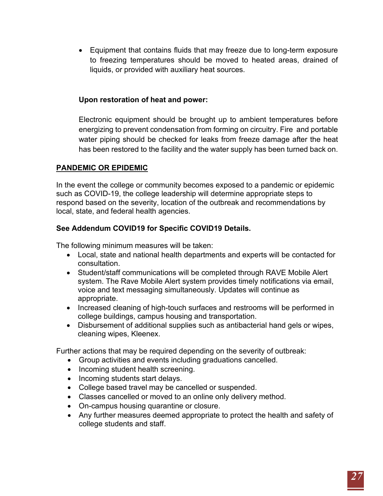• Equipment that contains fluids that may freeze due to long-term exposure to freezing temperatures should be moved to heated areas, drained of liquids, or provided with auxiliary heat sources.

### **Upon restoration of heat and power:**

Electronic equipment should be brought up to ambient temperatures before energizing to prevent condensation from forming on circuitry. Fire and portable water piping should be checked for leaks from freeze damage after the heat has been restored to the facility and the water supply has been turned back on.

### <span id="page-26-0"></span>**PANDEMIC OR EPIDEMIC**

In the event the college or community becomes exposed to a pandemic or epidemic such as COVID-19, the college leadership will determine appropriate steps to respond based on the severity, location of the outbreak and recommendations by local, state, and federal health agencies.

### **See Addendum COVID19 for Specific COVID19 Details.**

The following minimum measures will be taken:

- Local, state and national health departments and experts will be contacted for consultation.
- Student/staff communications will be completed through RAVE Mobile Alert system. The Rave Mobile Alert system provides timely notifications via email, voice and text messaging simultaneously. Updates will continue as appropriate.
- Increased cleaning of high-touch surfaces and restrooms will be performed in college buildings, campus housing and transportation.
- Disbursement of additional supplies such as antibacterial hand gels or wipes, cleaning wipes, Kleenex.

Further actions that may be required depending on the severity of outbreak:

- Group activities and events including graduations cancelled.
- Incoming student health screening.
- Incoming students start delays.
- College based travel may be cancelled or suspended.
- Classes cancelled or moved to an online only delivery method.
- On-campus housing quarantine or closure.
- Any further measures deemed appropriate to protect the health and safety of college students and staff.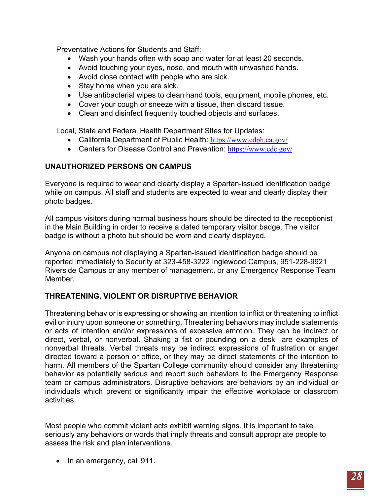Preventative Actions for Students and Staff:

- Wash your hands often with soap and water for at least 20 seconds.
- Avoid touching your eyes, nose, and mouth with unwashed hands.
- Avoid close contact with people who are sick.
- Stay home when you are sick.
- Use antibacterial wipes to clean hand tools, equipment, mobile phones, etc.
- Cover your cough or sneeze with a tissue, then discard tissue.
- Clean and disinfect frequently touched objects and surfaces.

Local, State and Federal Health Department Sites for Updates:

- California Department of Public Health: <https://www.cdph.ca.gov/>
- Centers for Disease Control and Prevention: <https://www.cdc.gov/>

### <span id="page-27-0"></span>**UNAUTHORIZED PERSONS ON CAMPUS**

Everyone is required to wear and clearly display a Spartan-issued identification badge while on campus. All staff and students are expected to wear and clearly display their photo badges.

All campus visitors during normal business hours should be directed to the receptionist in the Main Building in order to receive a dated temporary visitor badge. The visitor badge is without a photo but should be worn and clearly displayed.

Anyone on campus not displaying a Spartan-issued identification badge should be reported immediately to Security at 323-458-3222 Inglewood Campus, 951-228-9921 Riverside Campus or any member of management, or any Emergency Response Team **Member** 

### <span id="page-27-1"></span>**THREATENING, VIOLENT OR DISRUPTIVE BEHAVIOR**

Threatening behavior is expressing or showing an intention to inflict or threatening to inflict evil or injury upon someone or something. Threatening behaviors may include statements or acts of intention and/or expressions of excessive emotion. They can be indirect or direct, verbal, or nonverbal. Shaking a fist or pounding on a desk are examples of nonverbal threats. Verbal threats may be indirect expressions of frustration or anger directed toward a person or office, or they may be direct statements of the intention to harm. All members of the Spartan College community should consider any threatening behavior as potentially serious and report such behaviors to the Emergency Response team or campus administrators. Disruptive behaviors are behaviors by an individual or individuals which prevent or significantly impair the effective workplace or classroom activities.

Most people who commit violent acts exhibit warning signs. It is important to take seriously any behaviors or words that imply threats and consult appropriate people to assess the risk and plan interventions.

• In an emergency, call 911.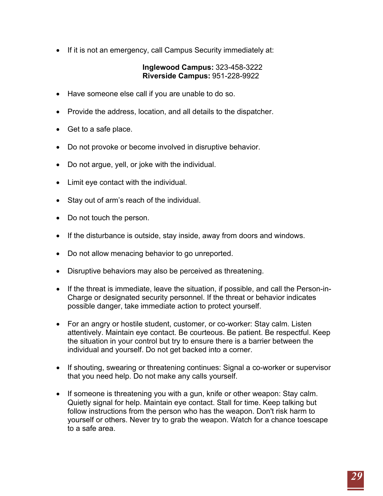• If it is not an emergency, call Campus Security immediately at:

### **Inglewood Campus:** 323-458-3222 **Riverside Campus:** 951-228-9922

- Have someone else call if you are unable to do so.
- Provide the address, location, and all details to the dispatcher.
- Get to a safe place.
- Do not provoke or become involved in disruptive behavior.
- Do not argue, yell, or joke with the individual.
- Limit eye contact with the individual.
- Stay out of arm's reach of the individual.
- Do not touch the person.
- If the disturbance is outside, stay inside, away from doors and windows.
- Do not allow menacing behavior to go unreported.
- Disruptive behaviors may also be perceived as threatening.
- If the threat is immediate, leave the situation, if possible, and call the Person-in-Charge or designated security personnel. If the threat or behavior indicates possible danger, take immediate action to protect yourself.
- For an angry or hostile student, customer, or co-worker: Stay calm. Listen attentively. Maintain eye contact. Be courteous. Be patient. Be respectful. Keep the situation in your control but try to ensure there is a barrier between the individual and yourself. Do not get backed into a corner.
- If shouting, swearing or threatening continues: Signal a co-worker or supervisor that you need help. Do not make any calls yourself.
- If someone is threatening you with a gun, knife or other weapon: Stay calm. Quietly signal for help. Maintain eye contact. Stall for time. Keep talking but follow instructions from the person who has the weapon. Don't risk harm to yourself or others. Never try to grab the weapon. Watch for a chance toescape to a safe area.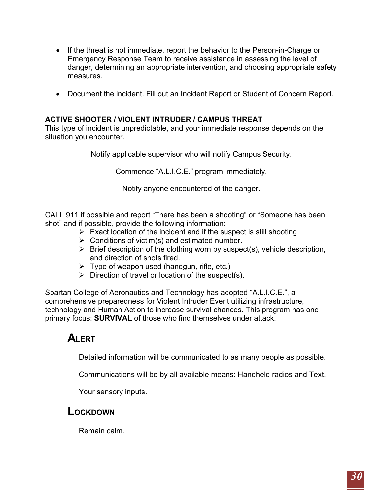- If the threat is not immediate, report the behavior to the Person-in-Charge or Emergency Response Team to receive assistance in assessing the level of danger, determining an appropriate intervention, and choosing appropriate safety measures.
- Document the incident. Fill out an Incident Report or Student of Concern Report.

### <span id="page-29-0"></span>**ACTIVE SHOOTER / VIOLENT INTRUDER / CAMPUS THREAT**

This type of incident is unpredictable, and your immediate response depends on the situation you encounter.

Notify applicable supervisor who will notify Campus Security.

Commence "A.L.I.C.E." program immediately.

Notify anyone encountered of the danger.

CALL 911 if possible and report "There has been a shooting" or "Someone has been shot" and if possible, provide the following information:

- $\triangleright$  Exact location of the incident and if the suspect is still shooting
- $\triangleright$  Conditions of victim(s) and estimated number.
- $\triangleright$  Brief description of the clothing worn by suspect(s), vehicle description, and direction of shots fired.
- $\triangleright$  Type of weapon used (handgun, rifle, etc.)
- $\triangleright$  Direction of travel or location of the suspect(s).

Spartan College of Aeronautics and Technology has adopted "A.L.I.C.E.", a comprehensive preparedness for Violent Intruder Event utilizing infrastructure, technology and Human Action to increase survival chances. This program has one primary focus: **SURVIVAL** of those who find themselves under attack.

# **ALERT**

Detailed information will be communicated to as many people as possible.

Communications will be by all available means: Handheld radios and Text.

Your sensory inputs.

# **LOCKDOWN**

Remain calm.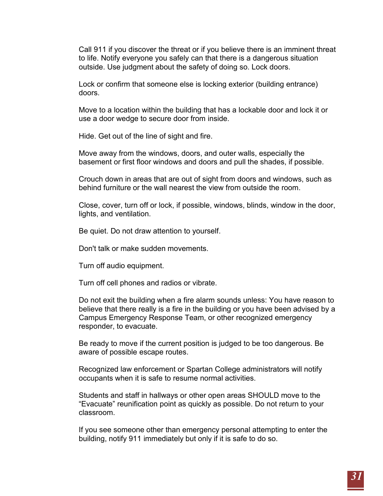Call 911 if you discover the threat or if you believe there is an imminent threat to life. Notify everyone you safely can that there is a dangerous situation outside. Use judgment about the safety of doing so. Lock doors.

Lock or confirm that someone else is locking exterior (building entrance) doors.

Move to a location within the building that has a lockable door and lock it or use a door wedge to secure door from inside.

Hide. Get out of the line of sight and fire.

Move away from the windows, doors, and outer walls, especially the basement or first floor windows and doors and pull the shades, if possible.

Crouch down in areas that are out of sight from doors and windows, such as behind furniture or the wall nearest the view from outside the room.

Close, cover, turn off or lock, if possible, windows, blinds, window in the door, lights, and ventilation.

Be quiet. Do not draw attention to yourself.

Don't talk or make sudden movements.

Turn off audio equipment.

Turn off cell phones and radios or vibrate.

Do not exit the building when a fire alarm sounds unless: You have reason to believe that there really is a fire in the building or you have been advised by a Campus Emergency Response Team, or other recognized emergency responder, to evacuate.

Be ready to move if the current position is judged to be too dangerous. Be aware of possible escape routes.

Recognized law enforcement or Spartan College administrators will notify occupants when it is safe to resume normal activities.

Students and staff in hallways or other open areas SHOULD move to the "Evacuate" reunification point as quickly as possible. Do not return to your classroom.

If you see someone other than emergency personal attempting to enter the building, notify 911 immediately but only if it is safe to do so.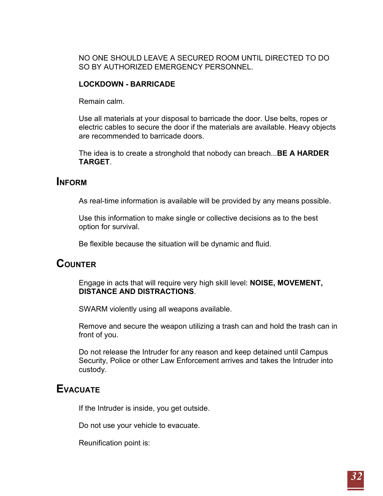NO ONE SHOULD LEAVE A SECURED ROOM UNTIL DIRECTED TO DO SO BY AUTHORIZED EMERGENCY PERSONNEL.

### **LOCKDOWN - BARRICADE**

Remain calm.

Use all materials at your disposal to barricade the door. Use belts, ropes or electric cables to secure the door if the materials are available. Heavy objects are recommended to barricade doors.

The idea is to create a stronghold that nobody can breach...**BE A HARDER TARGET**.

# **INFORM**

As real-time information is available will be provided by any means possible.

Use this information to make single or collective decisions as to the best option for survival.

Be flexible because the situation will be dynamic and fluid.

# **COUNTER**

Engage in acts that will require very high skill level: **NOISE, MOVEMENT, DISTANCE AND DISTRACTIONS**.

SWARM violently using all weapons available.

Remove and secure the weapon utilizing a trash can and hold the trash can in front of you.

Do not release the Intruder for any reason and keep detained until Campus Security, Police or other Law Enforcement arrives and takes the Intruder into custody.

# **EVACUATE**

If the Intruder is inside, you get outside.

Do not use your vehicle to evacuate.

Reunification point is: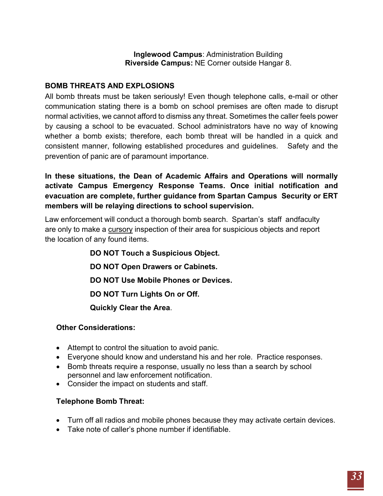**Inglewood Campus**: Administration Building **Riverside Campus:** NE Corner outside Hangar 8.

### <span id="page-32-0"></span>**BOMB THREATS AND EXPLOSIONS**

All bomb threats must be taken seriously! Even though telephone calls, e-mail or other communication stating there is a bomb on school premises are often made to disrupt normal activities, we cannot afford to dismiss any threat. Sometimes the caller feels power by causing a school to be evacuated. School administrators have no way of knowing whether a bomb exists; therefore, each bomb threat will be handled in a quick and consistent manner, following established procedures and guidelines. Safety and the prevention of panic are of paramount importance.

**In these situations, the Dean of Academic Affairs and Operations will normally activate Campus Emergency Response Teams. Once initial notification and evacuation are complete, further guidance from Spartan Campus Security or ERT members will be relaying directions to school supervision.**

Law enforcement will conduct a thorough bomb search. Spartan's staff andfaculty are only to make a cursory inspection of their area for suspicious objects and report the location of any found items.

> **DO NOT Touch a Suspicious Object. DO NOT Open Drawers or Cabinets. DO NOT Use Mobile Phones or Devices. DO NOT Turn Lights On or Off. Quickly Clear the Area**.

### **Other Considerations:**

- Attempt to control the situation to avoid panic.
- Everyone should know and understand his and her role. Practice responses.
- Bomb threats require a response, usually no less than a search by school personnel and law enforcement notification.
- Consider the impact on students and staff.

### **Telephone Bomb Threat:**

- Turn off all radios and mobile phones because they may activate certain devices.
- Take note of caller's phone number if identifiable.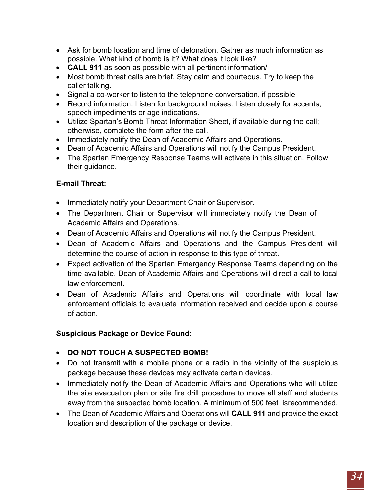- Ask for bomb location and time of detonation. Gather as much information as possible. What kind of bomb is it? What does it look like?
- **CALL 911** as soon as possible with all pertinent information/
- Most bomb threat calls are brief. Stay calm and courteous. Try to keep the caller talking.
- Signal a co-worker to listen to the telephone conversation, if possible.
- Record information. Listen for background noises. Listen closely for accents, speech impediments or age indications.
- Utilize Spartan's Bomb Threat Information Sheet, if available during the call; otherwise, complete the form after the call.
- Immediately notify the Dean of Academic Affairs and Operations.
- Dean of Academic Affairs and Operations will notify the Campus President.
- The Spartan Emergency Response Teams will activate in this situation. Follow their guidance.

# **E-mail Threat:**

- Immediately notify your Department Chair or Supervisor.
- The Department Chair or Supervisor will immediately notify the Dean of Academic Affairs and Operations.
- Dean of Academic Affairs and Operations will notify the Campus President.
- Dean of Academic Affairs and Operations and the Campus President will determine the course of action in response to this type of threat.
- Expect activation of the Spartan Emergency Response Teams depending on the time available. Dean of Academic Affairs and Operations will direct a call to local law enforcement.
- Dean of Academic Affairs and Operations will coordinate with local law enforcement officials to evaluate information received and decide upon a course of action.

# **Suspicious Package or Device Found:**

- **DO NOT TOUCH A SUSPECTED BOMB!**
- Do not transmit with a mobile phone or a radio in the vicinity of the suspicious package because these devices may activate certain devices.
- Immediately notify the Dean of Academic Affairs and Operations who will utilize the site evacuation plan or site fire drill procedure to move all staff and students away from the suspected bomb location. A minimum of 500 feet isrecommended.
- The Dean of Academic Affairs and Operations will **CALL 911** and provide the exact location and description of the package or device.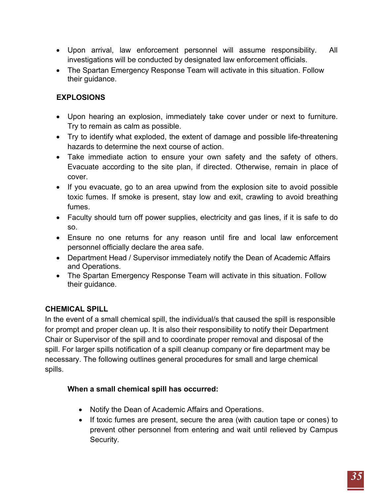- Upon arrival, law enforcement personnel will assume responsibility. All investigations will be conducted by designated law enforcement officials.
- The Spartan Emergency Response Team will activate in this situation. Follow their guidance.

# **EXPLOSIONS**

- Upon hearing an explosion, immediately take cover under or next to furniture. Try to remain as calm as possible.
- Try to identify what exploded, the extent of damage and possible life-threatening hazards to determine the next course of action.
- Take immediate action to ensure your own safety and the safety of others. Evacuate according to the site plan, if directed. Otherwise, remain in place of cover.
- If you evacuate, go to an area upwind from the explosion site to avoid possible toxic fumes. If smoke is present, stay low and exit, crawling to avoid breathing fumes.
- Faculty should turn off power supplies, electricity and gas lines, if it is safe to do so.
- Ensure no one returns for any reason until fire and local law enforcement personnel officially declare the area safe.
- Department Head / Supervisor immediately notify the Dean of Academic Affairs and Operations.
- The Spartan Emergency Response Team will activate in this situation. Follow their guidance.

# <span id="page-34-0"></span>**CHEMICAL SPILL**

In the event of a small chemical spill, the individual/s that caused the spill is responsible for prompt and proper clean up. It is also their responsibility to notify their Department Chair or Supervisor of the spill and to coordinate proper removal and disposal of the spill. For larger spills notification of a spill cleanup company or fire department may be necessary. The following outlines general procedures for small and large chemical spills.

### **When a small chemical spill has occurred:**

- Notify the Dean of Academic Affairs and Operations.
- If toxic fumes are present, secure the area (with caution tape or cones) to prevent other personnel from entering and wait until relieved by Campus Security.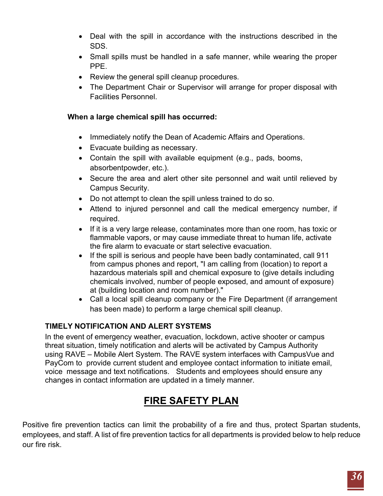- Deal with the spill in accordance with the instructions described in the SDS.
- Small spills must be handled in a safe manner, while wearing the proper PPE.
- Review the general spill cleanup procedures.
- The Department Chair or Supervisor will arrange for proper disposal with Facilities Personnel.

### **When a large chemical spill has occurred:**

- Immediately notify the Dean of Academic Affairs and Operations.
- Evacuate building as necessary.
- Contain the spill with available equipment (e.g., pads, booms, absorbentpowder, etc.).
- Secure the area and alert other site personnel and wait until relieved by Campus Security.
- Do not attempt to clean the spill unless trained to do so.
- Attend to injured personnel and call the medical emergency number, if required.
- If it is a very large release, contaminates more than one room, has toxic or flammable vapors, or may cause immediate threat to human life, activate the fire alarm to evacuate or start selective evacuation.
- If the spill is serious and people have been badly contaminated, call 911 from campus phones and report, "I am calling from (location) to report a hazardous materials spill and chemical exposure to (give details including chemicals involved, number of people exposed, and amount of exposure) at (building location and room number)."
- Call a local spill cleanup company or the Fire Department (if arrangement has been made) to perform a large chemical spill cleanup.

### **TIMELY NOTIFICATION AND ALERT SYSTEMS**

In the event of emergency weather, evacuation, lockdown, active shooter or campus threat situation, timely notification and alerts will be activated by Campus Authority using RAVE – Mobile Alert System. The RAVE system interfaces with CampusVue and PayCom to provide current student and employee contact information to initiate email, voice message and text notifications. Students and employees should ensure any changes in contact information are updated in a timely manner.

# **FIRE SAFETY PLAN**

<span id="page-35-0"></span>Positive fire prevention tactics can limit the probability of a fire and thus, protect Spartan students, employees, and staff. A list of fire prevention tactics for all departments is provided below to help reduce our fire risk.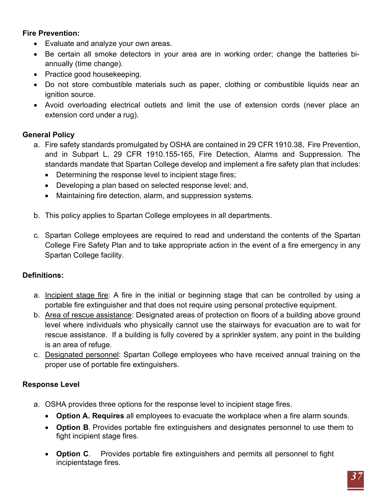### **Fire Prevention:**

- Evaluate and analyze your own areas.
- Be certain all smoke detectors in your area are in working order; change the batteries biannually (time change).
- Practice good housekeeping.
- Do not store combustible materials such as paper, clothing or combustible liquids near an ignition source.
- Avoid overloading electrical outlets and limit the use of extension cords (never place an extension cord under a rug).

### **General Policy**

- a. Fire safety standards promulgated by OSHA are contained in 29 CFR 1910.38, Fire Prevention, and in Subpart L, 29 CFR 1910.155-165, Fire Detection, Alarms and Suppression. The standards mandate that Spartan College develop and implement a fire safety plan that includes:
	- Determining the response level to incipient stage fires;
	- Developing a plan based on selected response level; and,
	- Maintaining fire detection, alarm, and suppression systems.
- b. This policy applies to Spartan College employees in all departments.
- c. Spartan College employees are required to read and understand the contents of the Spartan College Fire Safety Plan and to take appropriate action in the event of a fire emergency in any Spartan College facility.

### **Definitions:**

- a. Incipient stage fire: A fire in the initial or beginning stage that can be controlled by using a portable fire extinguisher and that does not require using personal protective equipment.
- b. Area of rescue assistance: Designated areas of protection on floors of a building above ground level where individuals who physically cannot use the stairways for evacuation are to wait for rescue assistance. If a building is fully covered by a sprinkler system, any point in the building is an area of refuge.
- c. Designated personnel: Spartan College employees who have received annual training on the proper use of portable fire extinguishers.

### **Response Level**

- a. OSHA provides three options for the response level to incipient stage fires.
	- **Option A. Requires** all employees to evacuate the workplace when a fire alarm sounds.
	- **Option B**. Provides portable fire extinguishers and designates personnel to use them to fight incipient stage fires.
	- **Option C**. Provides portable fire extinguishers and permits all personnel to fight incipientstage fires.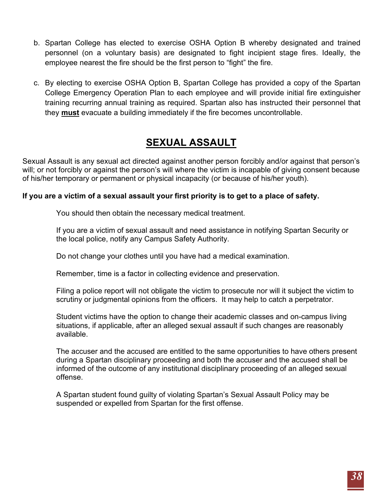- b. Spartan College has elected to exercise OSHA Option B whereby designated and trained personnel (on a voluntary basis) are designated to fight incipient stage fires. Ideally, the employee nearest the fire should be the first person to "fight" the fire.
- c. By electing to exercise OSHA Option B, Spartan College has provided a copy of the Spartan College Emergency Operation Plan to each employee and will provide initial fire extinguisher training recurring annual training as required. Spartan also has instructed their personnel that they **must** evacuate a building immediately if the fire becomes uncontrollable.

# **SEXUAL ASSAULT**

<span id="page-37-0"></span>Sexual Assault is any sexual act directed against another person forcibly and/or against that person's will; or not forcibly or against the person's will where the victim is incapable of giving consent because of his/her temporary or permanent or physical incapacity (or because of his/her youth).

### **If you are a victim of a sexual assault your first priority is to get to a place of safety.**

You should then obtain the necessary medical treatment.

If you are a victim of sexual assault and need assistance in notifying Spartan Security or the local police, notify any Campus Safety Authority.

Do not change your clothes until you have had a medical examination.

Remember, time is a factor in collecting evidence and preservation.

Filing a police report will not obligate the victim to prosecute nor will it subject the victim to scrutiny or judgmental opinions from the officers. It may help to catch a perpetrator.

Student victims have the option to change their academic classes and on-campus living situations, if applicable, after an alleged sexual assault if such changes are reasonably available.

The accuser and the accused are entitled to the same opportunities to have others present during a Spartan disciplinary proceeding and both the accuser and the accused shall be informed of the outcome of any institutional disciplinary proceeding of an alleged sexual offense.

A Spartan student found guilty of violating Spartan's Sexual Assault Policy may be suspended or expelled from Spartan for the first offense.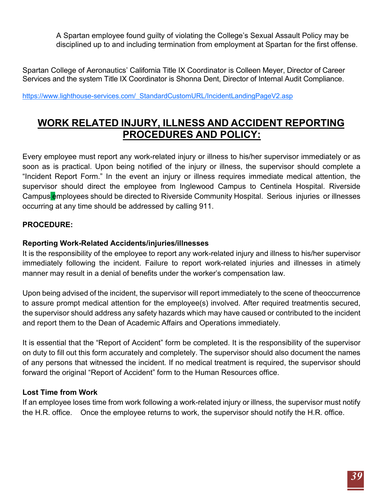A Spartan employee found guilty of violating the College's Sexual Assault Policy may be disciplined up to and including termination from employment at Spartan for the first offense.

Spartan College of Aeronautics' California Title IX Coordinator is Colleen Meyer, Director of Career Services and the system Title IX Coordinator is Shonna Dent, Director of Internal Audit Compliance.

https:/[/www.lighthouse-services.com/\\_StandardCustomURL/IncidentLandingPageV2.asp](http://www.lighthouse-services.com/_StandardCustomURL/IncidentLandingPageV2.asp)

# <span id="page-38-0"></span>**WORK RELATED INJURY, ILLNESS AND ACCIDENT REPORTING PROCEDURES AND POLICY:**

Every employee must report any work-related injury or illness to his/her supervisor immediately or as soon as is practical. Upon being notified of the injury or illness, the supervisor should complete a "Incident Report Form." In the event an injury or illness requires immediate medical attention, the supervisor should direct the employee from Inglewood Campus to Centinela Hospital. Riverside Campus employees should be directed to Riverside Community Hospital. Serious injuries or illnesses occurring at any time should be addressed by calling 911.

### **PROCEDURE:**

### **Reporting Work-Related Accidents/injuries/illnesses**

It is the responsibility of the employee to report any work-related injury and illness to his/her supervisor immediately following the incident. Failure to report work-related injuries and illnesses in atimely manner may result in a denial of benefits under the worker's compensation law.

Upon being advised of the incident, the supervisor will report immediately to the scene of theoccurrence to assure prompt medical attention for the employee(s) involved. After required treatmentis secured, the supervisor should address any safety hazards which may have caused or contributed to the incident and report them to the Dean of Academic Affairs and Operations immediately.

It is essential that the "Report of Accident" form be completed. It is the responsibility of the supervisor on duty to fill out this form accurately and completely. The supervisor should also document the names of any persons that witnessed the incident. If no medical treatment is required, the supervisor should forward the original "Report of Accident" form to the Human Resources office.

### **Lost Time from Work**

If an employee loses time from work following a work-related injury or illness, the supervisor must notify the H.R. office. Once the employee returns to work, the supervisor should notify the H.R. office.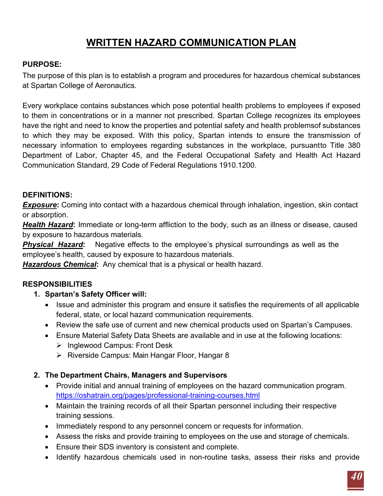# **WRITTEN HAZARD COMMUNICATION PLAN**

### <span id="page-39-0"></span>**PURPOSE:**

The purpose of this plan is to establish a program and procedures for hazardous chemical substances at Spartan College of Aeronautics.

Every workplace contains substances which pose potential health problems to employees if exposed to them in concentrations or in a manner not prescribed. Spartan College recognizes its employees have the right and need to know the properties and potential safety and health problemsof substances to which they may be exposed. With this policy, Spartan intends to ensure the transmission of necessary information to employees regarding substances in the workplace, pursuantto Title 380 Department of Labor, Chapter 45, and the Federal Occupational Safety and Health Act Hazard Communication Standard, 29 Code of Federal Regulations 1910.1200.

### **DEFINITIONS:**

**Exposure:** Coming into contact with a hazardous chemical through inhalation, ingestion, skin contact or absorption.

*Health Hazard***:** Immediate or long-term affliction to the body, such as an illness or disease, caused by exposure to hazardous materials.

**Physical Hazard:** Negative effects to the employee's physical surroundings as well as the employee's health, caused by exposure to hazardous materials.

*Hazardous Chemical***:** Any chemical that is a physical or health hazard.

# **RESPONSIBILITIES**

### **1. Spartan's Safety Officer will:**

- Issue and administer this program and ensure it satisfies the requirements of all applicable federal, state, or local hazard communication requirements.
- Review the safe use of current and new chemical products used on Spartan's Campuses.
- Ensure Material Safety Data Sheets are available and in use at the following locations:
	- $\triangleright$  Inglewood Campus: Front Desk
	- $\triangleright$  Riverside Campus: Main Hangar Floor, Hangar 8

### **2. The Department Chairs, Managers and Supervisors**

- Provide initial and annual training of employees on the hazard communication program. https://oshatrain.org/pages/professional-training-courses.html
- Maintain the training records of all their Spartan personnel including their respective training sessions.
- Immediately respond to any personnel concern or requests for information.
- Assess the risks and provide training to employees on the use and storage of chemicals.
- Ensure their SDS inventory is consistent and complete.
- Identify hazardous chemicals used in non-routine tasks, assess their risks and provide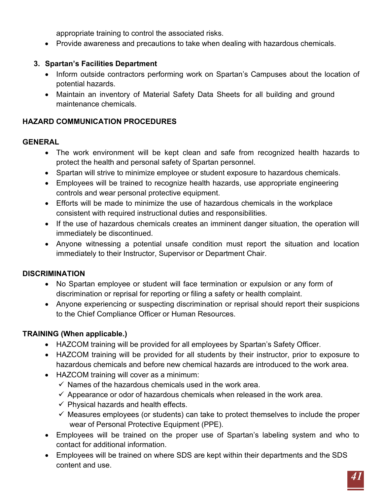appropriate training to control the associated risks.

• Provide awareness and precautions to take when dealing with hazardous chemicals.

### **3. Spartan's Facilities Department**

- Inform outside contractors performing work on Spartan's Campuses about the location of potential hazards.
- Maintain an inventory of Material Safety Data Sheets for all building and ground maintenance chemicals.

### **HAZARD COMMUNICATION PROCEDURES**

### **GENERAL**

- The work environment will be kept clean and safe from recognized health hazards to protect the health and personal safety of Spartan personnel.
- Spartan will strive to minimize employee or student exposure to hazardous chemicals.
- Employees will be trained to recognize health hazards, use appropriate engineering controls and wear personal protective equipment.
- Efforts will be made to minimize the use of hazardous chemicals in the workplace consistent with required instructional duties and responsibilities.
- If the use of hazardous chemicals creates an imminent danger situation, the operation will immediately be discontinued.
- Anyone witnessing a potential unsafe condition must report the situation and location immediately to their Instructor, Supervisor or Department Chair.

# **DISCRIMINATION**

- No Spartan employee or student will face termination or expulsion or any form of discrimination or reprisal for reporting or filing a safety or health complaint.
- Anyone experiencing or suspecting discrimination or reprisal should report their suspicions to the Chief Compliance Officer or Human Resources.

# **TRAINING (When applicable.)**

- HAZCOM training will be provided for all employees by Spartan's Safety Officer.
- HAZCOM training will be provided for all students by their instructor, prior to exposure to hazardous chemicals and before new chemical hazards are introduced to the work area.
- HAZCOM training will cover as a minimum:
	- $\checkmark$  Names of the hazardous chemicals used in the work area.
	- $\checkmark$  Appearance or odor of hazardous chemicals when released in the work area.
	- $\checkmark$  Physical hazards and health effects.
	- $\checkmark$  Measures employees (or students) can take to protect themselves to include the proper wear of Personal Protective Equipment (PPE).
- Employees will be trained on the proper use of Spartan's labeling system and who to contact for additional information.
- Employees will be trained on where SDS are kept within their departments and the SDS content and use.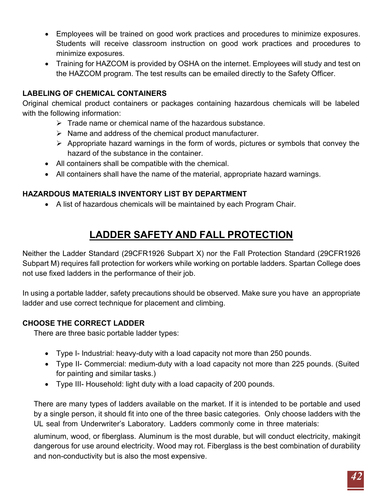- Employees will be trained on good work practices and procedures to minimize exposures. Students will receive classroom instruction on good work practices and procedures to minimize exposures.
- Training for HAZCOM is provided by OSHA on the internet. Employees will study and test on the HAZCOM program. The test results can be emailed directly to the Safety Officer.

### **LABELING OF CHEMICAL CONTAINERS**

Original chemical product containers or packages containing hazardous chemicals will be labeled with the following information:

- $\triangleright$  Trade name or chemical name of the hazardous substance.
- $\triangleright$  Name and address of the chemical product manufacturer.
- $\triangleright$  Appropriate hazard warnings in the form of words, pictures or symbols that convey the hazard of the substance in the container.
- All containers shall be compatible with the chemical.
- All containers shall have the name of the material, appropriate hazard warnings.

# **HAZARDOUS MATERIALS INVENTORY LIST BY DEPARTMENT**

• A list of hazardous chemicals will be maintained by each Program Chair.

# **LADDER SAFETY AND FALL PROTECTION**

<span id="page-41-0"></span>Neither the Ladder Standard (29CFR1926 Subpart X) nor the Fall Protection Standard (29CFR1926 Subpart M) requires fall protection for workers while working on portable ladders. Spartan College does not use fixed ladders in the performance of their job.

In using a portable ladder, safety precautions should be observed. Make sure you have an appropriate ladder and use correct technique for placement and climbing.

# **CHOOSE THE CORRECT LADDER**

There are three basic portable ladder types:

- Type I- Industrial: heavy-duty with a load capacity not more than 250 pounds.
- Type II- Commercial: medium-duty with a load capacity not more than 225 pounds. (Suited for painting and similar tasks.)
- Type III- Household: light duty with a load capacity of 200 pounds.

There are many types of ladders available on the market. If it is intended to be portable and used by a single person, it should fit into one of the three basic categories. Only choose ladders with the UL seal from Underwriter's Laboratory. Ladders commonly come in three materials:

aluminum, wood, or fiberglass. Aluminum is the most durable, but will conduct electricity, makingit dangerous for use around electricity. Wood may rot. Fiberglass is the best combination of durability and non-conductivity but is also the most expensive.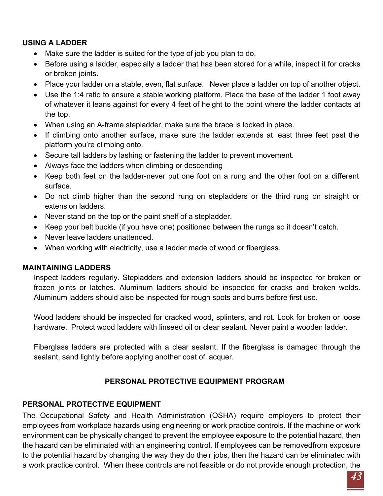# **USING A LADDER**

- Make sure the ladder is suited for the type of job you plan to do.
- Before using a ladder, especially a ladder that has been stored for a while, inspect it for cracks or broken joints.
- Place your ladder on a stable, even, flat surface. Never place a ladder on top of another object.
- Use the 1:4 ratio to ensure a stable working platform. Place the base of the ladder 1 foot away of whatever it leans against for every 4 feet of height to the point where the ladder contacts at the top.
- When using an A-frame stepladder, make sure the brace is locked in place.
- If climbing onto another surface, make sure the ladder extends at least three feet past the platform you're climbing onto.
- Secure tall ladders by lashing or fastening the ladder to prevent movement.
- Always face the ladders when climbing or descending
- Keep both feet on the ladder-never put one foot on a rung and the other foot on a different surface.
- Do not climb higher than the second rung on stepladders or the third rung on straight or extension ladders.
- Never stand on the top or the paint shelf of a stepladder.
- Keep your belt buckle (if you have one) positioned between the rungs so it doesn't catch.
- Never leave ladders unattended.
- When working with electricity, use a ladder made of wood or fiberglass.

### **MAINTAINING LADDERS**

Inspect ladders regularly. Stepladders and extension ladders should be inspected for broken or frozen joints or latches. Aluminum ladders should be inspected for cracks and broken welds. Aluminum ladders should also be inspected for rough spots and burrs before first use.

Wood ladders should be inspected for cracked wood, splinters, and rot. Look for broken or loose hardware. Protect wood ladders with linseed oil or clear sealant. Never paint a wooden ladder.

Fiberglass ladders are protected with a clear sealant. If the fiberglass is damaged through the sealant, sand lightly before applying another coat of lacquer.

# **PERSONAL PROTECTIVE EQUIPMENT PROGRAM**

# <span id="page-42-0"></span>**PERSONAL PROTECTIVE EQUIPMENT**

The Occupational Safety and Health Administration (OSHA) require employers to protect their employees from workplace hazards using engineering or work practice controls. If the machine or work environment can be physically changed to prevent the employee exposure to the potential hazard, then the hazard can be eliminated with an engineering control. If employees can be removedfrom exposure to the potential hazard by changing the way they do their jobs, then the hazard can be eliminated with a work practice control. When these controls are not feasible or do not provide enough protection, the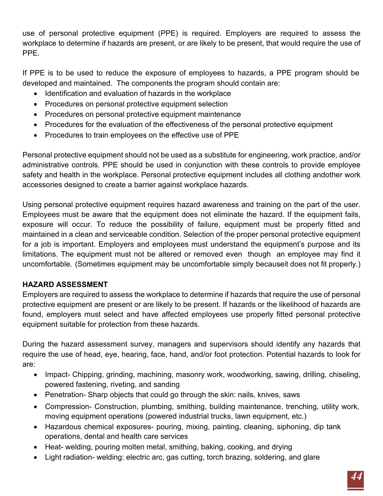use of personal protective equipment (PPE) is required. Employers are required to assess the workplace to determine if hazards are present, or are likely to be present, that would require the use of PPE.

If PPE is to be used to reduce the exposure of employees to hazards, a PPE program should be developed and maintained. The components the program should contain are:

- Identification and evaluation of hazards in the workplace
- Procedures on personal protective equipment selection
- Procedures on personal protective equipment maintenance
- Procedures for the evaluation of the effectiveness of the personal protective equipment
- Procedures to train employees on the effective use of PPE

Personal protective equipment should not be used as a substitute for engineering, work practice, and/or administrative controls. PPE should be used in conjunction with these controls to provide employee safety and health in the workplace. Personal protective equipment includes all clothing andother work accessories designed to create a barrier against workplace hazards.

Using personal protective equipment requires hazard awareness and training on the part of the user. Employees must be aware that the equipment does not eliminate the hazard. If the equipment fails, exposure will occur. To reduce the possibility of failure, equipment must be properly fitted and maintained in a clean and serviceable condition. Selection of the proper personal protective equipment for a job is important. Employers and employees must understand the equipment's purpose and its limitations. The equipment must not be altered or removed even though an employee may find it uncomfortable. (Sometimes equipment may be uncomfortable simply becauseit does not fit properly.)

# **HAZARD ASSESSMENT**

Employers are required to assess the workplace to determine if hazards that require the use of personal protective equipment are present or are likely to be present. If hazards or the likelihood of hazards are found, employers must select and have affected employees use properly fitted personal protective equipment suitable for protection from these hazards.

During the hazard assessment survey, managers and supervisors should identify any hazards that require the use of head, eye, hearing, face, hand, and/or foot protection. Potential hazards to look for are:

- Impact- Chipping, grinding, machining, masonry work, woodworking, sawing, drilling, chiseling, powered fastening, riveting, and sanding
- Penetration- Sharp objects that could go through the skin: nails, knives, saws
- Compression- Construction, plumbing, smithing, building maintenance, trenching, utility work, moving equipment operations (powered industrial trucks, lawn equipment, etc.)
- Hazardous chemical exposures- pouring, mixing, painting, cleaning, siphoning, dip tank operations, dental and health care services
- Heat- welding, pouring molten metal, smithing, baking, cooking, and drying
- Light radiation- welding: electric arc, gas cutting, torch brazing, soldering, and glare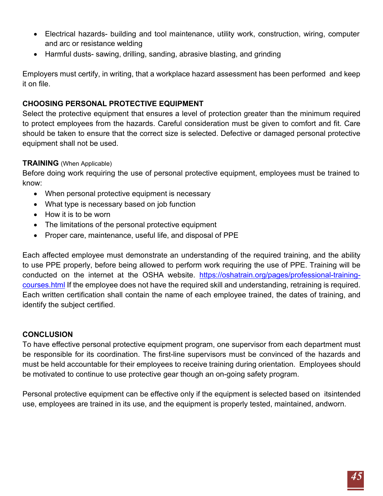- Electrical hazards- building and tool maintenance, utility work, construction, wiring, computer and arc or resistance welding
- Harmful dusts- sawing, drilling, sanding, abrasive blasting, and grinding

Employers must certify, in writing, that a workplace hazard assessment has been performed and keep it on file.

### **CHOOSING PERSONAL PROTECTIVE EQUIPMENT**

Select the protective equipment that ensures a level of protection greater than the minimum required to protect employees from the hazards. Careful consideration must be given to comfort and fit. Care should be taken to ensure that the correct size is selected. Defective or damaged personal protective equipment shall not be used.

### **TRAINING** (When Applicable)

Before doing work requiring the use of personal protective equipment, employees must be trained to know:

- When personal protective equipment is necessary
- What type is necessary based on job function
- How it is to be worn
- The limitations of the personal protective equipment
- Proper care, maintenance, useful life, and disposal of PPE

Each affected employee must demonstrate an understanding of the required training, and the ability to use PPE properly, before being allowed to perform work requiring the use of PPE. Training will be conducted on the internet at the OSHA website. https://oshatrain.org/pages/professional-trainingcourses.html If the employee does not have the required skill and understanding, retraining is required. Each written certification shall contain the name of each employee trained, the dates of training, and identify the subject certified.

### **CONCLUSION**

To have effective personal protective equipment program, one supervisor from each department must be responsible for its coordination. The first-line supervisors must be convinced of the hazards and must be held accountable for their employees to receive training during orientation. Employees should be motivated to continue to use protective gear though an on-going safety program.

Personal protective equipment can be effective only if the equipment is selected based on itsintended use, employees are trained in its use, and the equipment is properly tested, maintained, andworn.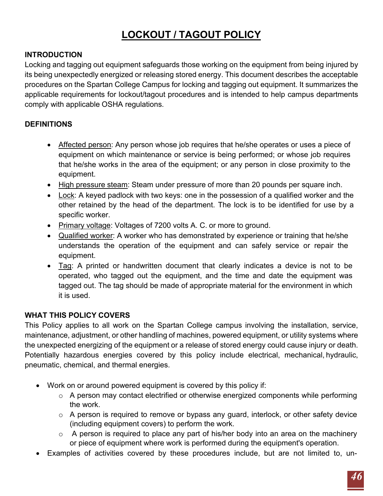# **LOCKOUT / TAGOUT POLICY**

### <span id="page-45-0"></span>**INTRODUCTION**

Locking and tagging out equipment safeguards those working on the equipment from being injured by its being unexpectedly energized or releasing stored energy. This document describes the acceptable procedures on the Spartan College Campus for locking and tagging out equipment. It summarizes the applicable requirements for lockout/tagout procedures and is intended to help campus departments comply with applicable OSHA regulations.

### **DEFINITIONS**

- Affected person: Any person whose job requires that he/she operates or uses a piece of equipment on which maintenance or service is being performed; or whose job requires that he/she works in the area of the equipment; or any person in close proximity to the equipment.
- High pressure steam: Steam under pressure of more than 20 pounds per square inch.
- Lock: A keyed padlock with two keys: one in the possession of a qualified worker and the other retained by the head of the department. The lock is to be identified for use by a specific worker.
- Primary voltage: Voltages of 7200 volts A. C. or more to ground.
- Qualified worker: A worker who has demonstrated by experience or training that he/she understands the operation of the equipment and can safely service or repair the equipment.
- Tag: A printed or handwritten document that clearly indicates a device is not to be operated, who tagged out the equipment, and the time and date the equipment was tagged out. The tag should be made of appropriate material for the environment in which it is used.

### **WHAT THIS POLICY COVERS**

This Policy applies to all work on the Spartan College campus involving the installation, service, maintenance, adjustment, or other handling of machines, powered equipment, or utility systems where the unexpected energizing of the equipment or a release of stored energy could cause injury or death. Potentially hazardous energies covered by this policy include electrical, mechanical, hydraulic, pneumatic, chemical, and thermal energies.

- Work on or around powered equipment is covered by this policy if:
	- o A person may contact electrified or otherwise energized components while performing the work.
	- $\circ$  A person is required to remove or bypass any guard, interlock, or other safety device (including equipment covers) to perform the work.
	- $\circ$  A person is required to place any part of his/her body into an area on the machinery or piece of equipment where work is performed during the equipment's operation.
- Examples of activities covered by these procedures include, but are not limited to, un-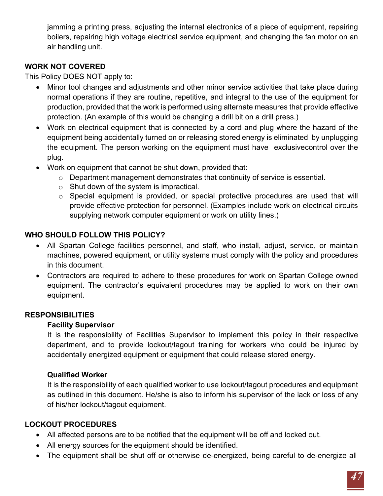jamming a printing press, adjusting the internal electronics of a piece of equipment, repairing boilers, repairing high voltage electrical service equipment, and changing the fan motor on an air handling unit.

### **WORK NOT COVERED**

This Policy DOES NOT apply to:

- Minor tool changes and adjustments and other minor service activities that take place during normal operations if they are routine, repetitive, and integral to the use of the equipment for production, provided that the work is performed using alternate measures that provide effective protection. (An example of this would be changing a drill bit on a drill press.)
- Work on electrical equipment that is connected by a cord and plug where the hazard of the equipment being accidentally turned on or releasing stored energy is eliminated by unplugging the equipment. The person working on the equipment must have exclusivecontrol over the plug.
- Work on equipment that cannot be shut down, provided that:
	- o Department management demonstrates that continuity of service is essential.
	- $\circ$  Shut down of the system is impractical.
	- o Special equipment is provided, or special protective procedures are used that will provide effective protection for personnel. (Examples include work on electrical circuits supplying network computer equipment or work on utility lines.)

# **WHO SHOULD FOLLOW THIS POLICY?**

- All Spartan College facilities personnel, and staff, who install, adjust, service, or maintain machines, powered equipment, or utility systems must comply with the policy and procedures in this document.
- Contractors are required to adhere to these procedures for work on Spartan College owned equipment. The contractor's equivalent procedures may be applied to work on their own equipment.

### **RESPONSIBILITIES**

### **Facility Supervisor**

It is the responsibility of Facilities Supervisor to implement this policy in their respective department, and to provide lockout/tagout training for workers who could be injured by accidentally energized equipment or equipment that could release stored energy.

### **Qualified Worker**

It is the responsibility of each qualified worker to use lockout/tagout procedures and equipment as outlined in this document. He/she is also to inform his supervisor of the lack or loss of any of his/her lockout/tagout equipment.

### **LOCKOUT PROCEDURES**

- All affected persons are to be notified that the equipment will be off and locked out.
- All energy sources for the equipment should be identified.
- The equipment shall be shut off or otherwise de-energized, being careful to de-energize all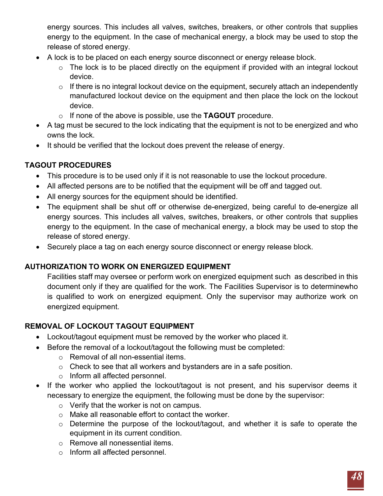energy sources. This includes all valves, switches, breakers, or other controls that supplies energy to the equipment. In the case of mechanical energy, a block may be used to stop the release of stored energy.

- A lock is to be placed on each energy source disconnect or energy release block.
	- $\circ$  The lock is to be placed directly on the equipment if provided with an integral lockout device.
	- $\circ$  If there is no integral lockout device on the equipment, securely attach an independently manufactured lockout device on the equipment and then place the lock on the lockout device.
	- o If none of the above is possible, use the **TAGOUT** procedure.
- A tag must be secured to the lock indicating that the equipment is not to be energized and who owns the lock.
- It should be verified that the lockout does prevent the release of energy.

# **TAGOUT PROCEDURES**

- This procedure is to be used only if it is not reasonable to use the lockout procedure.
- All affected persons are to be notified that the equipment will be off and tagged out.
- All energy sources for the equipment should be identified.
- The equipment shall be shut off or otherwise de-energized, being careful to de-energize all energy sources. This includes all valves, switches, breakers, or other controls that supplies energy to the equipment. In the case of mechanical energy, a block may be used to stop the release of stored energy.
- Securely place a tag on each energy source disconnect or energy release block.

# **AUTHORIZATION TO WORK ON ENERGIZED EQUIPMENT**

Facilities staff may oversee or perform work on energized equipment such as described in this document only if they are qualified for the work. The Facilities Supervisor is to determinewho is qualified to work on energized equipment. Only the supervisor may authorize work on energized equipment.

# **REMOVAL OF LOCKOUT TAGOUT EQUIPMENT**

- Lockout/tagout equipment must be removed by the worker who placed it.
- Before the removal of a lockout/tagout the following must be completed:
	- o Removal of all non-essential items.
	- o Check to see that all workers and bystanders are in a safe position.
	- o Inform all affected personnel.
- If the worker who applied the lockout/tagout is not present, and his supervisor deems it necessary to energize the equipment, the following must be done by the supervisor:
	- o Verify that the worker is not on campus.
	- o Make all reasonable effort to contact the worker.
	- o Determine the purpose of the lockout/tagout, and whether it is safe to operate the equipment in its current condition.
	- o Remove all nonessential items.
	- o Inform all affected personnel.